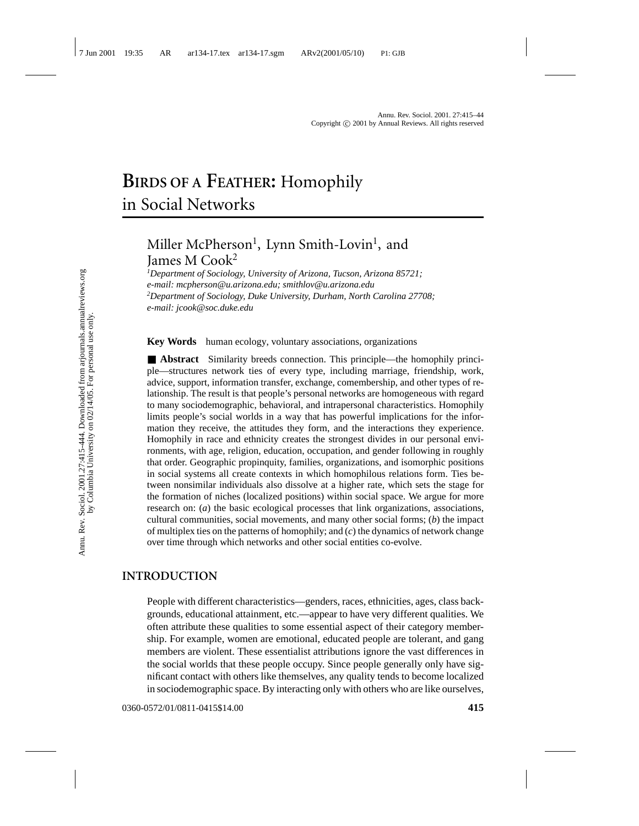# **BIRDS OF A FEATHER:** Homophily in Social Networks

## Miller McPherson<sup>1</sup>, Lynn Smith-Lovin<sup>1</sup>, and James M Cook<sup>2</sup>

*1 Department of Sociology, University of Arizona, Tucson, Arizona 85721; e-mail: mcpherson@u.arizona.edu; smithlov@u.arizona.edu 2 Department of Sociology, Duke University, Durham, North Carolina 27708; e-mail: jcook@soc.duke.edu*

**Key Words** human ecology, voluntary associations, organizations

■ **Abstract** Similarity breeds connection. This principle—the homophily principle—structures network ties of every type, including marriage, friendship, work, advice, support, information transfer, exchange, comembership, and other types of relationship. The result is that people's personal networks are homogeneous with regard to many sociodemographic, behavioral, and intrapersonal characteristics. Homophily limits people's social worlds in a way that has powerful implications for the information they receive, the attitudes they form, and the interactions they experience. Homophily in race and ethnicity creates the strongest divides in our personal environments, with age, religion, education, occupation, and gender following in roughly that order. Geographic propinquity, families, organizations, and isomorphic positions in social systems all create contexts in which homophilous relations form. Ties between nonsimilar individuals also dissolve at a higher rate, which sets the stage for the formation of niches (localized positions) within social space. We argue for more research on: (*a*) the basic ecological processes that link organizations, associations, cultural communities, social movements, and many other social forms; (*b*) the impact of multiplex ties on the patterns of homophily; and (*c*) the dynamics of network change over time through which networks and other social entities co-evolve.

## **INTRODUCTION**

People with different characteristics—genders, races, ethnicities, ages, class backgrounds, educational attainment, etc.—appear to have very different qualities. We often attribute these qualities to some essential aspect of their category membership. For example, women are emotional, educated people are tolerant, and gang members are violent. These essentialist attributions ignore the vast differences in the social worlds that these people occupy. Since people generally only have significant contact with others like themselves, any quality tends to become localized in sociodemographic space. By interacting only with others who are like ourselves,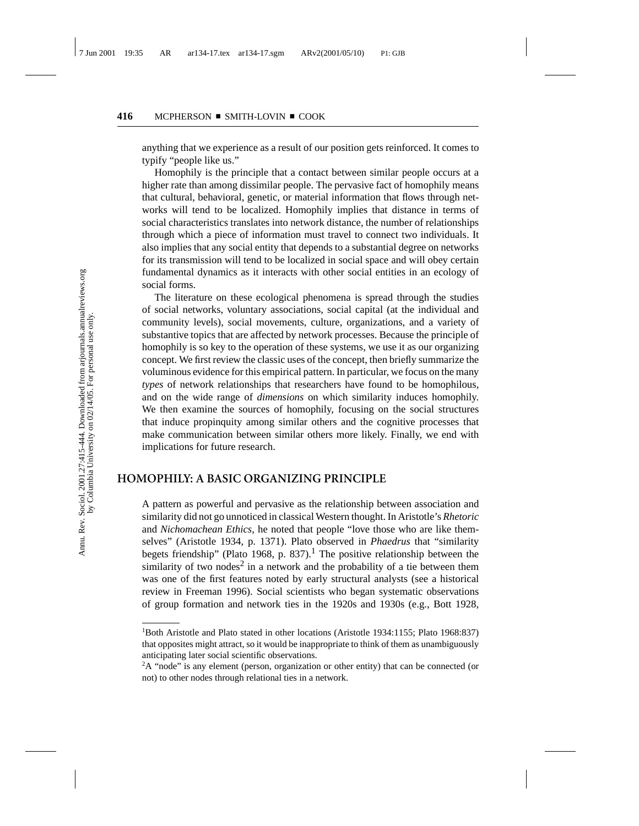anything that we experience as a result of our position gets reinforced. It comes to typify "people like us."

Homophily is the principle that a contact between similar people occurs at a higher rate than among dissimilar people. The pervasive fact of homophily means that cultural, behavioral, genetic, or material information that flows through networks will tend to be localized. Homophily implies that distance in terms of social characteristics translates into network distance, the number of relationships through which a piece of information must travel to connect two individuals. It also implies that any social entity that depends to a substantial degree on networks for its transmission will tend to be localized in social space and will obey certain fundamental dynamics as it interacts with other social entities in an ecology of social forms.

The literature on these ecological phenomena is spread through the studies of social networks, voluntary associations, social capital (at the individual and community levels), social movements, culture, organizations, and a variety of substantive topics that are affected by network processes. Because the principle of homophily is so key to the operation of these systems, we use it as our organizing concept. We first review the classic uses of the concept, then briefly summarize the voluminous evidence for this empirical pattern. In particular, we focus on the many *types* of network relationships that researchers have found to be homophilous, and on the wide range of *dimensions* on which similarity induces homophily. We then examine the sources of homophily, focusing on the social structures that induce propinquity among similar others and the cognitive processes that make communication between similar others more likely. Finally, we end with implications for future research.

#### **HOMOPHILY: A BASIC ORGANIZING PRINCIPLE**

A pattern as powerful and pervasive as the relationship between association and similarity did not go unnoticed in classical Western thought. In Aristotle's *Rhetoric* and *Nichomachean Ethics*, he noted that people "love those who are like themselves" (Aristotle 1934, p. 1371). Plato observed in *Phaedrus* that "similarity begets friendship" (Plato 1968, p. 837).<sup>1</sup> The positive relationship between the similarity of two nodes<sup>2</sup> in a network and the probability of a tie between them was one of the first features noted by early structural analysts (see a historical review in Freeman 1996). Social scientists who began systematic observations of group formation and network ties in the 1920s and 1930s (e.g., Bott 1928,

<sup>&</sup>lt;sup>1</sup>Both Aristotle and Plato stated in other locations (Aristotle 1934:1155; Plato 1968:837) that opposites might attract, so it would be inappropriate to think of them as unambiguously anticipating later social scientific observations.

 ${}^{2}$ A "node" is any element (person, organization or other entity) that can be connected (or not) to other nodes through relational ties in a network.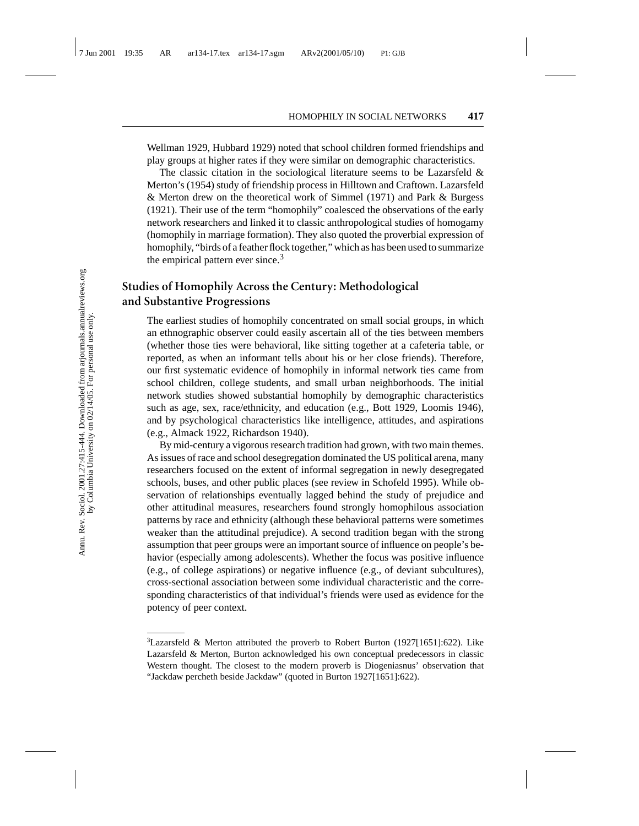Wellman 1929, Hubbard 1929) noted that school children formed friendships and play groups at higher rates if they were similar on demographic characteristics.

The classic citation in the sociological literature seems to be Lazarsfeld & Merton's (1954) study of friendship process in Hilltown and Craftown. Lazarsfeld & Merton drew on the theoretical work of Simmel (1971) and Park & Burgess (1921). Their use of the term "homophily" coalesced the observations of the early network researchers and linked it to classic anthropological studies of homogamy (homophily in marriage formation). They also quoted the proverbial expression of homophily, "birds of a feather flock together," which as has been used to summarize the empirical pattern ever since. $3$ 

## **Studies of Homophily Across the Century: Methodological and Substantive Progressions**

The earliest studies of homophily concentrated on small social groups, in which an ethnographic observer could easily ascertain all of the ties between members (whether those ties were behavioral, like sitting together at a cafeteria table, or reported, as when an informant tells about his or her close friends). Therefore, our first systematic evidence of homophily in informal network ties came from school children, college students, and small urban neighborhoods. The initial network studies showed substantial homophily by demographic characteristics such as age, sex, race/ethnicity, and education (e.g., Bott 1929, Loomis 1946), and by psychological characteristics like intelligence, attitudes, and aspirations (e.g., Almack 1922, Richardson 1940).

By mid-century a vigorous research tradition had grown, with two main themes. As issues of race and school desegregation dominated the US political arena, many researchers focused on the extent of informal segregation in newly desegregated schools, buses, and other public places (see review in Schofeld 1995). While observation of relationships eventually lagged behind the study of prejudice and other attitudinal measures, researchers found strongly homophilous association patterns by race and ethnicity (although these behavioral patterns were sometimes weaker than the attitudinal prejudice). A second tradition began with the strong assumption that peer groups were an important source of influence on people's behavior (especially among adolescents). Whether the focus was positive influence (e.g., of college aspirations) or negative influence (e.g., of deviant subcultures), cross-sectional association between some individual characteristic and the corresponding characteristics of that individual's friends were used as evidence for the potency of peer context.

<sup>&</sup>lt;sup>3</sup>Lazarsfeld & Merton attributed the proverb to Robert Burton (1927[1651]:622). Like Lazarsfeld & Merton, Burton acknowledged his own conceptual predecessors in classic Western thought. The closest to the modern proverb is Diogeniasnus' observation that "Jackdaw percheth beside Jackdaw" (quoted in Burton 1927[1651]:622).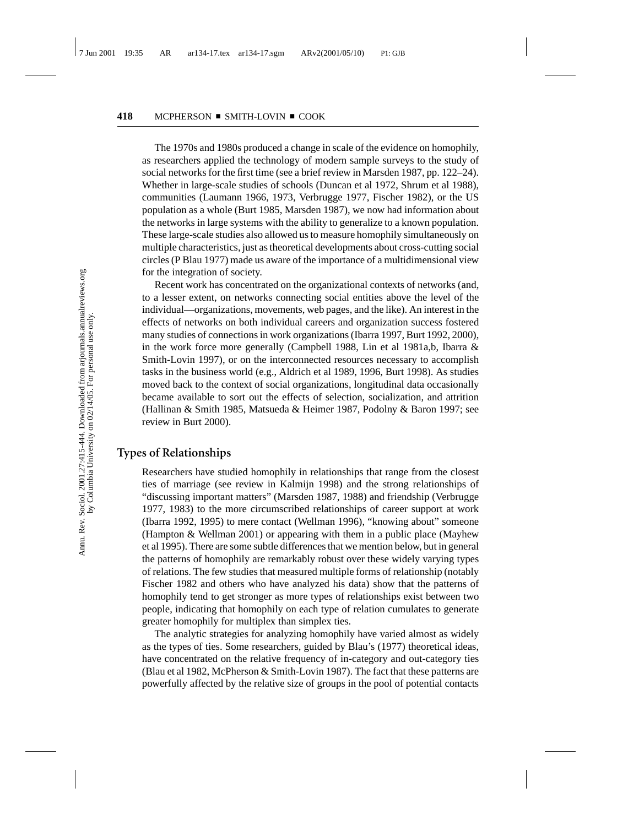The 1970s and 1980s produced a change in scale of the evidence on homophily, as researchers applied the technology of modern sample surveys to the study of social networks for the first time (see a brief review in Marsden 1987, pp. 122–24). Whether in large-scale studies of schools (Duncan et al 1972, Shrum et al 1988), communities (Laumann 1966, 1973, Verbrugge 1977, Fischer 1982), or the US population as a whole (Burt 1985, Marsden 1987), we now had information about the networks in large systems with the ability to generalize to a known population. These large-scale studies also allowed us to measure homophily simultaneously on multiple characteristics, just as theoretical developments about cross-cutting social circles (P Blau 1977) made us aware of the importance of a multidimensional view for the integration of society.

Recent work has concentrated on the organizational contexts of networks (and, to a lesser extent, on networks connecting social entities above the level of the individual—organizations, movements, web pages, and the like). An interest in the effects of networks on both individual careers and organization success fostered many studies of connections in work organizations (Ibarra 1997, Burt 1992, 2000), in the work force more generally (Campbell 1988, Lin et al 1981a,b, Ibarra & Smith-Lovin 1997), or on the interconnected resources necessary to accomplish tasks in the business world (e.g., Aldrich et al 1989, 1996, Burt 1998). As studies moved back to the context of social organizations, longitudinal data occasionally became available to sort out the effects of selection, socialization, and attrition (Hallinan & Smith 1985, Matsueda & Heimer 1987, Podolny & Baron 1997; see review in Burt 2000).

#### **Types of Relationships**

Researchers have studied homophily in relationships that range from the closest ties of marriage (see review in Kalmijn 1998) and the strong relationships of "discussing important matters" (Marsden 1987, 1988) and friendship (Verbrugge 1977, 1983) to the more circumscribed relationships of career support at work (Ibarra 1992, 1995) to mere contact (Wellman 1996), "knowing about" someone (Hampton & Wellman 2001) or appearing with them in a public place (Mayhew et al 1995). There are some subtle differences that we mention below, but in general the patterns of homophily are remarkably robust over these widely varying types of relations. The few studies that measured multiple forms of relationship (notably Fischer 1982 and others who have analyzed his data) show that the patterns of homophily tend to get stronger as more types of relationships exist between two people, indicating that homophily on each type of relation cumulates to generate greater homophily for multiplex than simplex ties.

The analytic strategies for analyzing homophily have varied almost as widely as the types of ties. Some researchers, guided by Blau's (1977) theoretical ideas, have concentrated on the relative frequency of in-category and out-category ties (Blau et al 1982, McPherson & Smith-Lovin 1987). The fact that these patterns are powerfully affected by the relative size of groups in the pool of potential contacts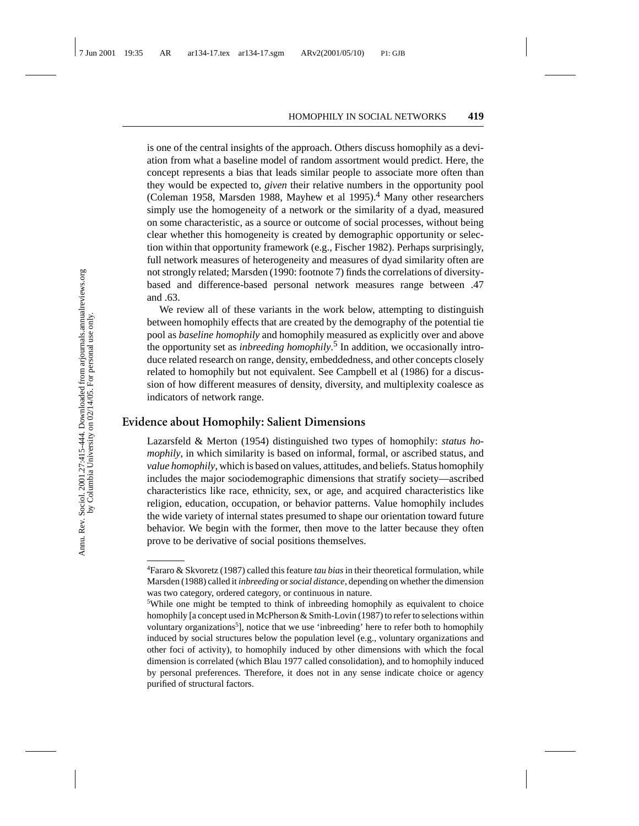is one of the central insights of the approach. Others discuss homophily as a deviation from what a baseline model of random assortment would predict. Here, the concept represents a bias that leads similar people to associate more often than they would be expected to, *given* their relative numbers in the opportunity pool (Coleman 1958, Marsden 1988, Mayhew et al 1995).<sup>4</sup> Many other researchers simply use the homogeneity of a network or the similarity of a dyad, measured on some characteristic, as a source or outcome of social processes, without being clear whether this homogeneity is created by demographic opportunity or selection within that opportunity framework (e.g., Fischer 1982). Perhaps surprisingly, full network measures of heterogeneity and measures of dyad similarity often are not strongly related; Marsden (1990: footnote 7) finds the correlations of diversitybased and difference-based personal network measures range between .47 and .63.

We review all of these variants in the work below, attempting to distinguish between homophily effects that are created by the demography of the potential tie pool as *baseline homophily* and homophily measured as explicitly over and above the opportunity set as *inbreeding homophily*. <sup>5</sup> In addition, we occasionally introduce related research on range, density, embeddedness, and other concepts closely related to homophily but not equivalent. See Campbell et al (1986) for a discussion of how different measures of density, diversity, and multiplexity coalesce as indicators of network range.

## **Evidence about Homophily: Salient Dimensions**

Lazarsfeld & Merton (1954) distinguished two types of homophily: *status homophily*, in which similarity is based on informal, formal, or ascribed status, and *value homophily*, which is based on values, attitudes, and beliefs. Status homophily includes the major sociodemographic dimensions that stratify society—ascribed characteristics like race, ethnicity, sex, or age, and acquired characteristics like religion, education, occupation, or behavior patterns. Value homophily includes the wide variety of internal states presumed to shape our orientation toward future behavior. We begin with the former, then move to the latter because they often prove to be derivative of social positions themselves.

<sup>4</sup> Fararo & Skvoretz (1987) called this feature *tau bias*in their theoretical formulation, while Marsden (1988) called it *inbreeding* or*social distance*, depending on whether the dimension was two category, ordered category, or continuous in nature.

<sup>&</sup>lt;sup>5</sup>While one might be tempted to think of inbreeding homophily as equivalent to choice homophily [a concept used in McPherson & Smith-Lovin (1987) to refer to selections within voluntary organizations<sup>5</sup>], notice that we use 'inbreeding' here to refer both to homophily induced by social structures below the population level (e.g., voluntary organizations and other foci of activity), to homophily induced by other dimensions with which the focal dimension is correlated (which Blau 1977 called consolidation), and to homophily induced by personal preferences. Therefore, it does not in any sense indicate choice or agency purified of structural factors.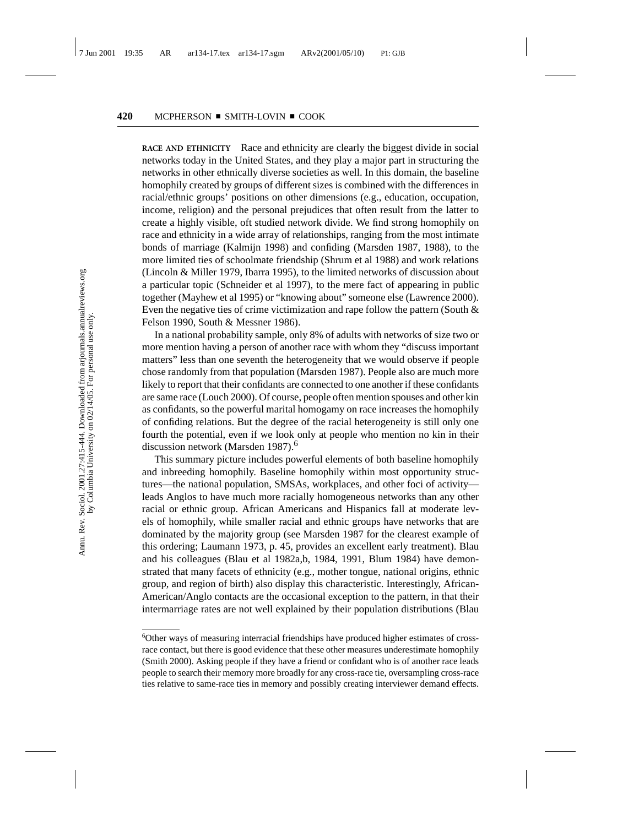**RACE AND ETHNICITY** Race and ethnicity are clearly the biggest divide in social networks today in the United States, and they play a major part in structuring the networks in other ethnically diverse societies as well. In this domain, the baseline homophily created by groups of different sizes is combined with the differences in racial/ethnic groups' positions on other dimensions (e.g., education, occupation, income, religion) and the personal prejudices that often result from the latter to create a highly visible, oft studied network divide. We find strong homophily on race and ethnicity in a wide array of relationships, ranging from the most intimate bonds of marriage (Kalmijn 1998) and confiding (Marsden 1987, 1988), to the more limited ties of schoolmate friendship (Shrum et al 1988) and work relations (Lincoln & Miller 1979, Ibarra 1995), to the limited networks of discussion about a particular topic (Schneider et al 1997), to the mere fact of appearing in public together (Mayhew et al 1995) or "knowing about" someone else (Lawrence 2000). Even the negative ties of crime victimization and rape follow the pattern (South  $\&$ Felson 1990, South & Messner 1986).

In a national probability sample, only 8% of adults with networks of size two or more mention having a person of another race with whom they "discuss important matters" less than one seventh the heterogeneity that we would observe if people chose randomly from that population (Marsden 1987). People also are much more likely to report that their confidants are connected to one another if these confidants are same race (Louch 2000). Of course, people often mention spouses and other kin as confidants, so the powerful marital homogamy on race increases the homophily of confiding relations. But the degree of the racial heterogeneity is still only one fourth the potential, even if we look only at people who mention no kin in their discussion network (Marsden 1987).<sup>6</sup>

This summary picture includes powerful elements of both baseline homophily and inbreeding homophily. Baseline homophily within most opportunity structures—the national population, SMSAs, workplaces, and other foci of activity leads Anglos to have much more racially homogeneous networks than any other racial or ethnic group. African Americans and Hispanics fall at moderate levels of homophily, while smaller racial and ethnic groups have networks that are dominated by the majority group (see Marsden 1987 for the clearest example of this ordering; Laumann 1973, p. 45, provides an excellent early treatment). Blau and his colleagues (Blau et al 1982a,b, 1984, 1991, Blum 1984) have demonstrated that many facets of ethnicity (e.g., mother tongue, national origins, ethnic group, and region of birth) also display this characteristic. Interestingly, African-American/Anglo contacts are the occasional exception to the pattern, in that their intermarriage rates are not well explained by their population distributions (Blau

<sup>6</sup> Other ways of measuring interracial friendships have produced higher estimates of crossrace contact, but there is good evidence that these other measures underestimate homophily (Smith 2000). Asking people if they have a friend or confidant who is of another race leads people to search their memory more broadly for any cross-race tie, oversampling cross-race ties relative to same-race ties in memory and possibly creating interviewer demand effects.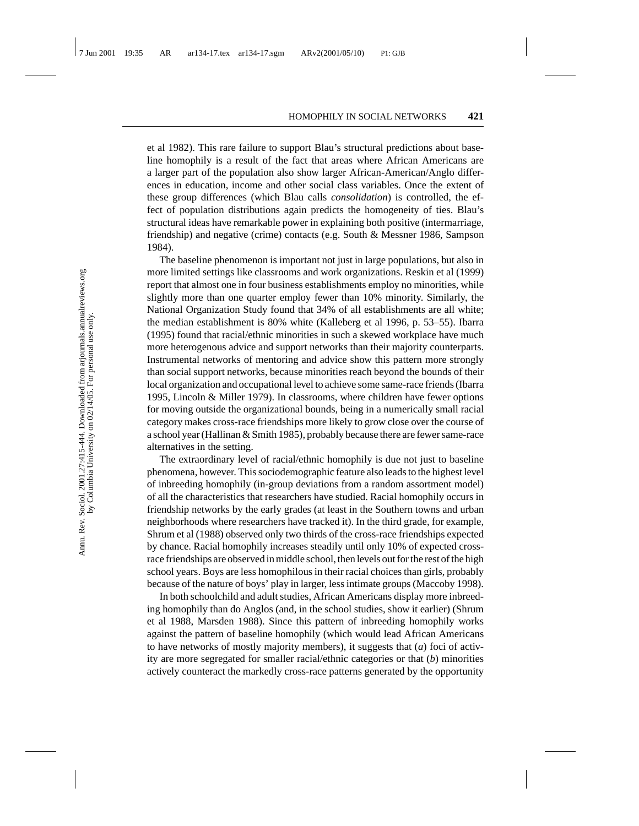et al 1982). This rare failure to support Blau's structural predictions about baseline homophily is a result of the fact that areas where African Americans are a larger part of the population also show larger African-American/Anglo differences in education, income and other social class variables. Once the extent of these group differences (which Blau calls *consolidation*) is controlled, the effect of population distributions again predicts the homogeneity of ties. Blau's structural ideas have remarkable power in explaining both positive (intermarriage, friendship) and negative (crime) contacts (e.g. South & Messner 1986, Sampson 1984).

The baseline phenomenon is important not just in large populations, but also in more limited settings like classrooms and work organizations. Reskin et al (1999) report that almost one in four business establishments employ no minorities, while slightly more than one quarter employ fewer than 10% minority. Similarly, the National Organization Study found that 34% of all establishments are all white; the median establishment is 80% white (Kalleberg et al 1996, p. 53–55). Ibarra (1995) found that racial/ethnic minorities in such a skewed workplace have much more heterogenous advice and support networks than their majority counterparts. Instrumental networks of mentoring and advice show this pattern more strongly than social support networks, because minorities reach beyond the bounds of their local organization and occupational level to achieve some same-race friends (Ibarra 1995, Lincoln & Miller 1979). In classrooms, where children have fewer options for moving outside the organizational bounds, being in a numerically small racial category makes cross-race friendships more likely to grow close over the course of a school year (Hallinan & Smith 1985), probably because there are fewer same-race alternatives in the setting.

The extraordinary level of racial/ethnic homophily is due not just to baseline phenomena, however. This sociodemographic feature also leads to the highest level of inbreeding homophily (in-group deviations from a random assortment model) of all the characteristics that researchers have studied. Racial homophily occurs in friendship networks by the early grades (at least in the Southern towns and urban neighborhoods where researchers have tracked it). In the third grade, for example, Shrum et al (1988) observed only two thirds of the cross-race friendships expected by chance. Racial homophily increases steadily until only 10% of expected crossrace friendships are observed in middle school, then levels out for the rest of the high school years. Boys are less homophilous in their racial choices than girls, probably because of the nature of boys' play in larger, less intimate groups (Maccoby 1998).

In both schoolchild and adult studies, African Americans display more inbreeding homophily than do Anglos (and, in the school studies, show it earlier) (Shrum et al 1988, Marsden 1988). Since this pattern of inbreeding homophily works against the pattern of baseline homophily (which would lead African Americans to have networks of mostly majority members), it suggests that (*a*) foci of activity are more segregated for smaller racial/ethnic categories or that (*b*) minorities actively counteract the markedly cross-race patterns generated by the opportunity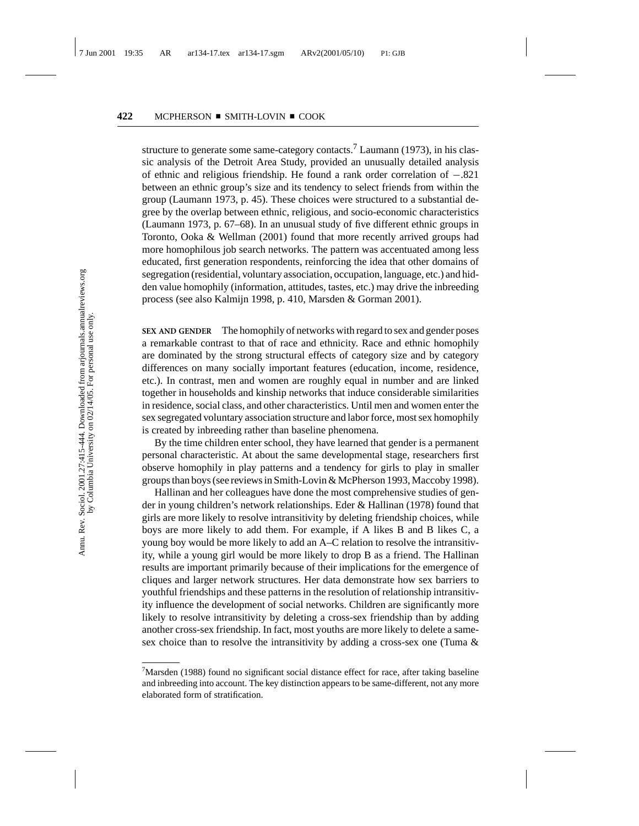structure to generate some same-category contacts.<sup>7</sup> Laumann (1973), in his classic analysis of the Detroit Area Study, provided an unusually detailed analysis of ethnic and religious friendship. He found a rank order correlation of −.821 between an ethnic group's size and its tendency to select friends from within the group (Laumann 1973, p. 45). These choices were structured to a substantial degree by the overlap between ethnic, religious, and socio-economic characteristics (Laumann 1973, p. 67–68). In an unusual study of five different ethnic groups in Toronto, Ooka & Wellman (2001) found that more recently arrived groups had more homophilous job search networks. The pattern was accentuated among less educated, first generation respondents, reinforcing the idea that other domains of segregation (residential, voluntary association, occupation, language, etc.) and hidden value homophily (information, attitudes, tastes, etc.) may drive the inbreeding process (see also Kalmijn 1998, p. 410, Marsden & Gorman 2001).

**SEX AND GENDER** The homophily of networks with regard to sex and gender poses a remarkable contrast to that of race and ethnicity. Race and ethnic homophily are dominated by the strong structural effects of category size and by category differences on many socially important features (education, income, residence, etc.). In contrast, men and women are roughly equal in number and are linked together in households and kinship networks that induce considerable similarities in residence, social class, and other characteristics. Until men and women enter the sex segregated voluntary association structure and labor force, most sex homophily is created by inbreeding rather than baseline phenomena.

By the time children enter school, they have learned that gender is a permanent personal characteristic. At about the same developmental stage, researchers first observe homophily in play patterns and a tendency for girls to play in smaller groups than boys (see reviews in Smith-Lovin & McPherson 1993, Maccoby 1998).

Hallinan and her colleagues have done the most comprehensive studies of gender in young children's network relationships. Eder & Hallinan (1978) found that girls are more likely to resolve intransitivity by deleting friendship choices, while boys are more likely to add them. For example, if A likes B and B likes C, a young boy would be more likely to add an A–C relation to resolve the intransitivity, while a young girl would be more likely to drop B as a friend. The Hallinan results are important primarily because of their implications for the emergence of cliques and larger network structures. Her data demonstrate how sex barriers to youthful friendships and these patterns in the resolution of relationship intransitivity influence the development of social networks. Children are significantly more likely to resolve intransitivity by deleting a cross-sex friendship than by adding another cross-sex friendship. In fact, most youths are more likely to delete a samesex choice than to resolve the intransitivity by adding a cross-sex one (Tuma &

<sup>&</sup>lt;sup>7</sup>Marsden (1988) found no significant social distance effect for race, after taking baseline and inbreeding into account. The key distinction appears to be same-different, not any more elaborated form of stratification.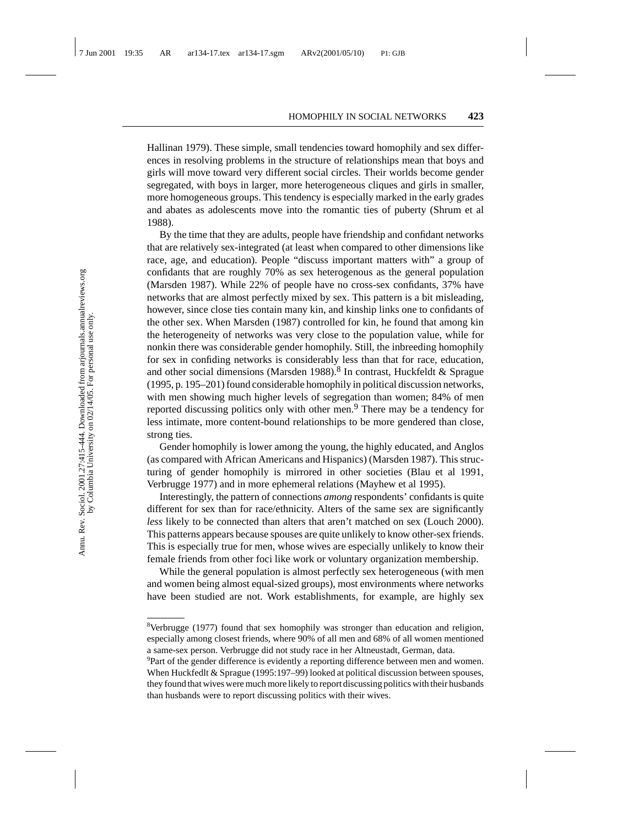Hallinan 1979). These simple, small tendencies toward homophily and sex differences in resolving problems in the structure of relationships mean that boys and girls will move toward very different social circles. Their worlds become gender segregated, with boys in larger, more heterogeneous cliques and girls in smaller, more homogeneous groups. This tendency is especially marked in the early grades and abates as adolescents move into the romantic ties of puberty (Shrum et al 1988).

By the time that they are adults, people have friendship and confidant networks that are relatively sex-integrated (at least when compared to other dimensions like race, age, and education). People "discuss important matters with" a group of confidants that are roughly 70% as sex heterogenous as the general population (Marsden 1987). While 22% of people have no cross-sex confidants, 37% have networks that are almost perfectly mixed by sex. This pattern is a bit misleading, however, since close ties contain many kin, and kinship links one to confidants of the other sex. When Marsden (1987) controlled for kin, he found that among kin the heterogeneity of networks was very close to the population value, while for nonkin there was considerable gender homophily. Still, the inbreeding homophily for sex in confiding networks is considerably less than that for race, education, and other social dimensions (Marsden 1988).<sup>8</sup> In contrast, Huckfeldt & Sprague (1995, p. 195–201) found considerable homophily in political discussion networks, with men showing much higher levels of segregation than women; 84% of men reported discussing politics only with other men.<sup>9</sup> There may be a tendency for less intimate, more content-bound relationships to be more gendered than close, strong ties.

Gender homophily is lower among the young, the highly educated, and Anglos (as compared with African Americans and Hispanics) (Marsden 1987). This structuring of gender homophily is mirrored in other societies (Blau et al 1991, Verbrugge 1977) and in more ephemeral relations (Mayhew et al 1995).

Interestingly, the pattern of connections *among* respondents' confidants is quite different for sex than for race/ethnicity. Alters of the same sex are significantly *less* likely to be connected than alters that aren't matched on sex (Louch 2000). This patterns appears because spouses are quite unlikely to know other-sex friends. This is especially true for men, whose wives are especially unlikely to know their female friends from other foci like work or voluntary organization membership.

While the general population is almost perfectly sex heterogeneous (with men and women being almost equal-sized groups), most environments where networks have been studied are not. Work establishments, for example, are highly sex

<sup>&</sup>lt;sup>8</sup>Verbrugge (1977) found that sex homophily was stronger than education and religion, especially among closest friends, where 90% of all men and 68% of all women mentioned a same-sex person. Verbrugge did not study race in her Altneustadt, German, data.

<sup>&</sup>lt;sup>9</sup>Part of the gender difference is evidently a reporting difference between men and women. When Huckfedlt & Sprague (1995:197–99) looked at political discussion between spouses, they found that wives were much more likely to report discussing politics with their husbands than husbands were to report discussing politics with their wives.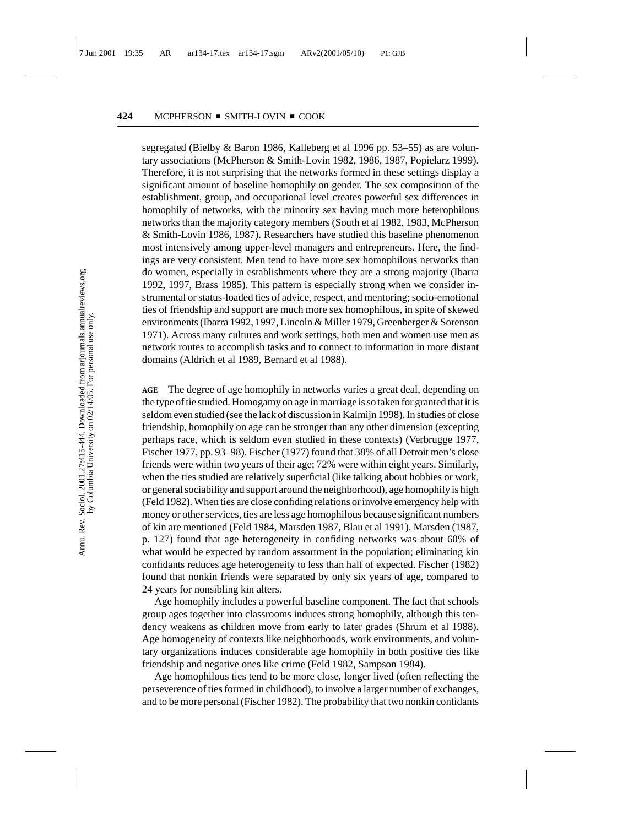segregated (Bielby & Baron 1986, Kalleberg et al 1996 pp. 53–55) as are voluntary associations (McPherson & Smith-Lovin 1982, 1986, 1987, Popielarz 1999). Therefore, it is not surprising that the networks formed in these settings display a significant amount of baseline homophily on gender. The sex composition of the establishment, group, and occupational level creates powerful sex differences in homophily of networks, with the minority sex having much more heterophilous networks than the majority category members (South et al 1982, 1983, McPherson & Smith-Lovin 1986, 1987). Researchers have studied this baseline phenomenon most intensively among upper-level managers and entrepreneurs. Here, the findings are very consistent. Men tend to have more sex homophilous networks than do women, especially in establishments where they are a strong majority (Ibarra 1992, 1997, Brass 1985). This pattern is especially strong when we consider instrumental or status-loaded ties of advice, respect, and mentoring; socio-emotional ties of friendship and support are much more sex homophilous, in spite of skewed environments (Ibarra 1992, 1997, Lincoln & Miller 1979, Greenberger & Sorenson 1971). Across many cultures and work settings, both men and women use men as network routes to accomplish tasks and to connect to information in more distant domains (Aldrich et al 1989, Bernard et al 1988).

**AGE** The degree of age homophily in networks varies a great deal, depending on the type of tie studied. Homogamy on age in marriage is so taken for granted that it is seldom even studied (see the lack of discussion in Kalmijn 1998). In studies of close friendship, homophily on age can be stronger than any other dimension (excepting perhaps race, which is seldom even studied in these contexts) (Verbrugge 1977, Fischer 1977, pp. 93–98). Fischer (1977) found that 38% of all Detroit men's close friends were within two years of their age; 72% were within eight years. Similarly, when the ties studied are relatively superficial (like talking about hobbies or work, or general sociability and support around the neighborhood), age homophily is high (Feld 1982). When ties are close confiding relations or involve emergency help with money or other services, ties are less age homophilous because significant numbers of kin are mentioned (Feld 1984, Marsden 1987, Blau et al 1991). Marsden (1987, p. 127) found that age heterogeneity in confiding networks was about 60% of what would be expected by random assortment in the population; eliminating kin confidants reduces age heterogeneity to less than half of expected. Fischer (1982) found that nonkin friends were separated by only six years of age, compared to 24 years for nonsibling kin alters.

Age homophily includes a powerful baseline component. The fact that schools group ages together into classrooms induces strong homophily, although this tendency weakens as children move from early to later grades (Shrum et al 1988). Age homogeneity of contexts like neighborhoods, work environments, and voluntary organizations induces considerable age homophily in both positive ties like friendship and negative ones like crime (Feld 1982, Sampson 1984).

Age homophilous ties tend to be more close, longer lived (often reflecting the perseverence of ties formed in childhood), to involve a larger number of exchanges, and to be more personal (Fischer 1982). The probability that two nonkin confidants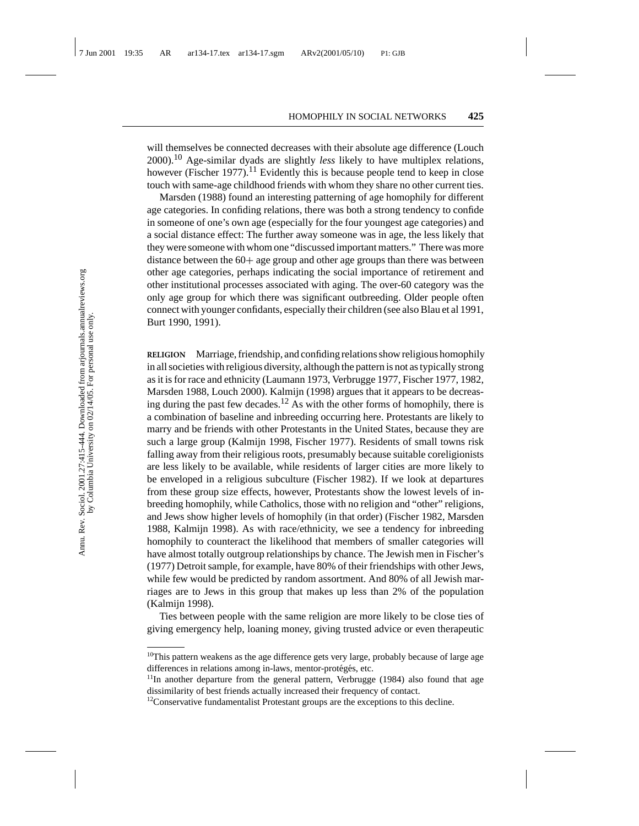will themselves be connected decreases with their absolute age difference (Louch 2000).10 Age-similar dyads are slightly *less* likely to have multiplex relations, however (Fischer 1977).<sup>11</sup> Evidently this is because people tend to keep in close touch with same-age childhood friends with whom they share no other current ties.

Marsden (1988) found an interesting patterning of age homophily for different age categories. In confiding relations, there was both a strong tendency to confide in someone of one's own age (especially for the four youngest age categories) and a social distance effect: The further away someone was in age, the less likely that they were someone with whom one "discussed important matters." There was more distance between the  $60+$  age group and other age groups than there was between other age categories, perhaps indicating the social importance of retirement and other institutional processes associated with aging. The over-60 category was the only age group for which there was significant outbreeding. Older people often connect with younger confidants, especially their children (see also Blau et al 1991, Burt 1990, 1991).

**RELIGION** Marriage, friendship, and confiding relations show religious homophily in all societies with religious diversity, although the pattern is not as typically strong as it is for race and ethnicity (Laumann 1973, Verbrugge 1977, Fischer 1977, 1982, Marsden 1988, Louch 2000). Kalmijn (1998) argues that it appears to be decreasing during the past few decades.<sup>12</sup> As with the other forms of homophily, there is a combination of baseline and inbreeding occurring here. Protestants are likely to marry and be friends with other Protestants in the United States, because they are such a large group (Kalmijn 1998, Fischer 1977). Residents of small towns risk falling away from their religious roots, presumably because suitable coreligionists are less likely to be available, while residents of larger cities are more likely to be enveloped in a religious subculture (Fischer 1982). If we look at departures from these group size effects, however, Protestants show the lowest levels of inbreeding homophily, while Catholics, those with no religion and "other" religions, and Jews show higher levels of homophily (in that order) (Fischer 1982, Marsden 1988, Kalmijn 1998). As with race/ethnicity, we see a tendency for inbreeding homophily to counteract the likelihood that members of smaller categories will have almost totally outgroup relationships by chance. The Jewish men in Fischer's (1977) Detroit sample, for example, have 80% of their friendships with other Jews, while few would be predicted by random assortment. And 80% of all Jewish marriages are to Jews in this group that makes up less than 2% of the population (Kalmijn 1998).

Ties between people with the same religion are more likely to be close ties of giving emergency help, loaning money, giving trusted advice or even therapeutic

<sup>&</sup>lt;sup>10</sup>This pattern weakens as the age difference gets very large, probably because of large age differences in relations among in-laws, mentor-protégés, etc.

<sup>&</sup>lt;sup>11</sup>In another departure from the general pattern, Verbrugge (1984) also found that age dissimilarity of best friends actually increased their frequency of contact.

<sup>&</sup>lt;sup>12</sup>Conservative fundamentalist Protestant groups are the exceptions to this decline.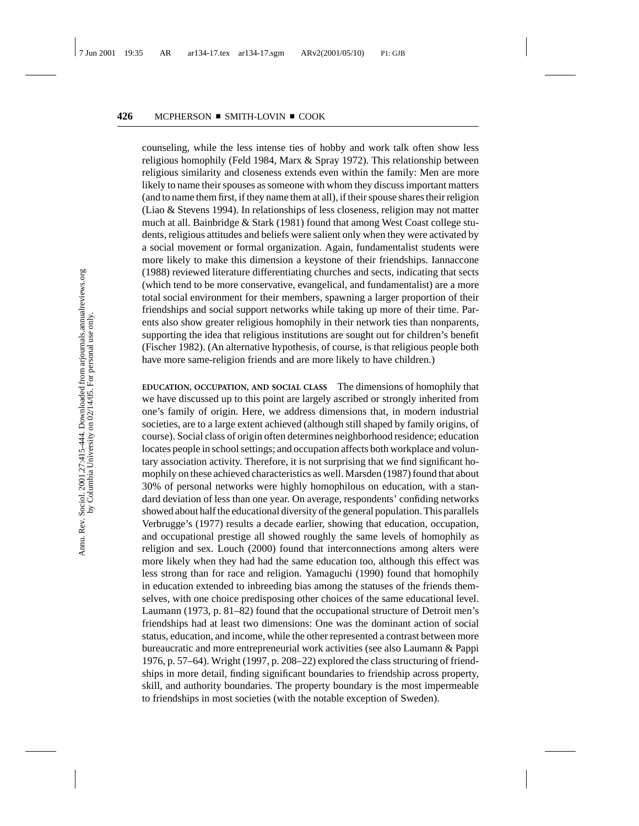counseling, while the less intense ties of hobby and work talk often show less religious homophily (Feld 1984, Marx & Spray 1972). This relationship between religious similarity and closeness extends even within the family: Men are more likely to name their spouses as someone with whom they discuss important matters (and to name them first, if they name them at all), if their spouse shares their religion (Liao & Stevens 1994). In relationships of less closeness, religion may not matter much at all. Bainbridge & Stark (1981) found that among West Coast college students, religious attitudes and beliefs were salient only when they were activated by a social movement or formal organization. Again, fundamentalist students were more likely to make this dimension a keystone of their friendships. Iannaccone (1988) reviewed literature differentiating churches and sects, indicating that sects (which tend to be more conservative, evangelical, and fundamentalist) are a more total social environment for their members, spawning a larger proportion of their friendships and social support networks while taking up more of their time. Parents also show greater religious homophily in their network ties than nonparents, supporting the idea that religious institutions are sought out for children's benefit (Fischer 1982). (An alternative hypothesis, of course, is that religious people both have more same-religion friends and are more likely to have children.)

**EDUCATION, OCCUPATION, AND SOCIAL CLASS** The dimensions of homophily that we have discussed up to this point are largely ascribed or strongly inherited from one's family of origin. Here, we address dimensions that, in modern industrial societies, are to a large extent achieved (although still shaped by family origins, of course). Social class of origin often determines neighborhood residence; education locates people in school settings; and occupation affects both workplace and voluntary association activity. Therefore, it is not surprising that we find significant homophily on these achieved characteristics as well. Marsden (1987) found that about 30% of personal networks were highly homophilous on education, with a standard deviation of less than one year. On average, respondents' confiding networks showed about half the educational diversity of the general population. This parallels Verbrugge's (1977) results a decade earlier, showing that education, occupation, and occupational prestige all showed roughly the same levels of homophily as religion and sex. Louch (2000) found that interconnections among alters were more likely when they had had the same education too, although this effect was less strong than for race and religion. Yamaguchi (1990) found that homophily in education extended to inbreeding bias among the statuses of the friends themselves, with one choice predisposing other choices of the same educational level. Laumann (1973, p. 81–82) found that the occupational structure of Detroit men's friendships had at least two dimensions: One was the dominant action of social status, education, and income, while the other represented a contrast between more bureaucratic and more entrepreneurial work activities (see also Laumann & Pappi 1976, p. 57–64). Wright (1997, p. 208–22) explored the class structuring of friendships in more detail, finding significant boundaries to friendship across property, skill, and authority boundaries. The property boundary is the most impermeable to friendships in most societies (with the notable exception of Sweden).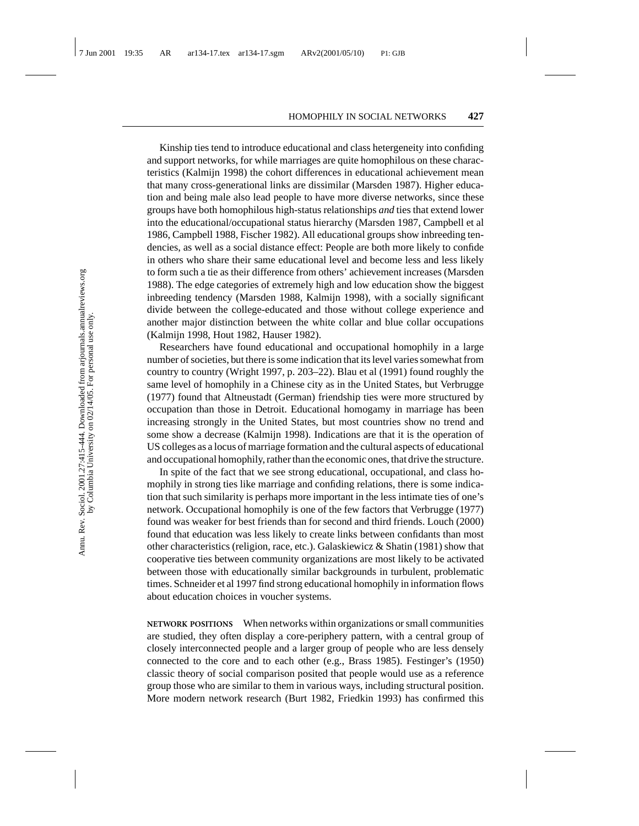Kinship ties tend to introduce educational and class hetergeneity into confiding and support networks, for while marriages are quite homophilous on these characteristics (Kalmijn 1998) the cohort differences in educational achievement mean that many cross-generational links are dissimilar (Marsden 1987). Higher education and being male also lead people to have more diverse networks, since these groups have both homophilous high-status relationships *and* ties that extend lower into the educational/occupational status hierarchy (Marsden 1987, Campbell et al 1986, Campbell 1988, Fischer 1982). All educational groups show inbreeding tendencies, as well as a social distance effect: People are both more likely to confide in others who share their same educational level and become less and less likely to form such a tie as their difference from others' achievement increases (Marsden 1988). The edge categories of extremely high and low education show the biggest inbreeding tendency (Marsden 1988, Kalmijn 1998), with a socially significant divide between the college-educated and those without college experience and another major distinction between the white collar and blue collar occupations (Kalmijn 1998, Hout 1982, Hauser 1982).

Researchers have found educational and occupational homophily in a large number of societies, but there is some indication that its level varies somewhat from country to country (Wright 1997, p. 203–22). Blau et al (1991) found roughly the same level of homophily in a Chinese city as in the United States, but Verbrugge (1977) found that Altneustadt (German) friendship ties were more structured by occupation than those in Detroit. Educational homogamy in marriage has been increasing strongly in the United States, but most countries show no trend and some show a decrease (Kalmijn 1998). Indications are that it is the operation of US colleges as a locus of marriage formation and the cultural aspects of educational and occupational homophily, rather than the economic ones, that drive the structure.

In spite of the fact that we see strong educational, occupational, and class homophily in strong ties like marriage and confiding relations, there is some indication that such similarity is perhaps more important in the less intimate ties of one's network. Occupational homophily is one of the few factors that Verbrugge (1977) found was weaker for best friends than for second and third friends. Louch (2000) found that education was less likely to create links between confidants than most other characteristics (religion, race, etc.). Galaskiewicz & Shatin (1981) show that cooperative ties between community organizations are most likely to be activated between those with educationally similar backgrounds in turbulent, problematic times. Schneider et al 1997 find strong educational homophily in information flows about education choices in voucher systems.

**NETWORK POSITIONS** When networks within organizations or small communities are studied, they often display a core-periphery pattern, with a central group of closely interconnected people and a larger group of people who are less densely connected to the core and to each other (e.g., Brass 1985). Festinger's (1950) classic theory of social comparison posited that people would use as a reference group those who are similar to them in various ways, including structural position. More modern network research (Burt 1982, Friedkin 1993) has confirmed this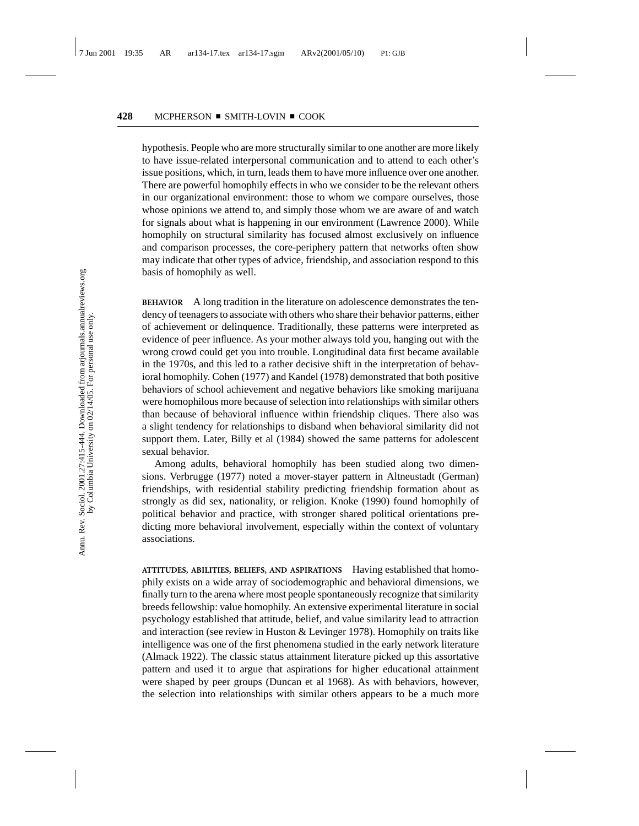hypothesis. People who are more structurally similar to one another are more likely to have issue-related interpersonal communication and to attend to each other's issue positions, which, in turn, leads them to have more influence over one another. There are powerful homophily effects in who we consider to be the relevant others in our organizational environment: those to whom we compare ourselves, those whose opinions we attend to, and simply those whom we are aware of and watch for signals about what is happening in our environment (Lawrence 2000). While homophily on structural similarity has focused almost exclusively on influence and comparison processes, the core-periphery pattern that networks often show may indicate that other types of advice, friendship, and association respond to this basis of homophily as well.

**BEHAVIOR** A long tradition in the literature on adolescence demonstrates the tendency of teenagers to associate with others who share their behavior patterns, either of achievement or delinquence. Traditionally, these patterns were interpreted as evidence of peer influence. As your mother always told you, hanging out with the wrong crowd could get you into trouble. Longitudinal data first became available in the 1970s, and this led to a rather decisive shift in the interpretation of behavioral homophily. Cohen (1977) and Kandel (1978) demonstrated that both positive behaviors of school achievement and negative behaviors like smoking marijuana were homophilous more because of selection into relationships with similar others than because of behavioral influence within friendship cliques. There also was a slight tendency for relationships to disband when behavioral similarity did not support them. Later, Billy et al (1984) showed the same patterns for adolescent sexual behavior.

Among adults, behavioral homophily has been studied along two dimensions. Verbrugge (1977) noted a mover-stayer pattern in Altneustadt (German) friendships, with residential stability predicting friendship formation about as strongly as did sex, nationality, or religion. Knoke (1990) found homophily of political behavior and practice, with stronger shared political orientations predicting more behavioral involvement, especially within the context of voluntary associations.

**ATTITUDES, ABILITIES, BELIEFS, AND ASPIRATIONS** Having established that homophily exists on a wide array of sociodemographic and behavioral dimensions, we finally turn to the arena where most people spontaneously recognize that similarity breeds fellowship: value homophily. An extensive experimental literature in social psychology established that attitude, belief, and value similarity lead to attraction and interaction (see review in Huston & Levinger 1978). Homophily on traits like intelligence was one of the first phenomena studied in the early network literature (Almack 1922). The classic status attainment literature picked up this assortative pattern and used it to argue that aspirations for higher educational attainment were shaped by peer groups (Duncan et al 1968). As with behaviors, however, the selection into relationships with similar others appears to be a much more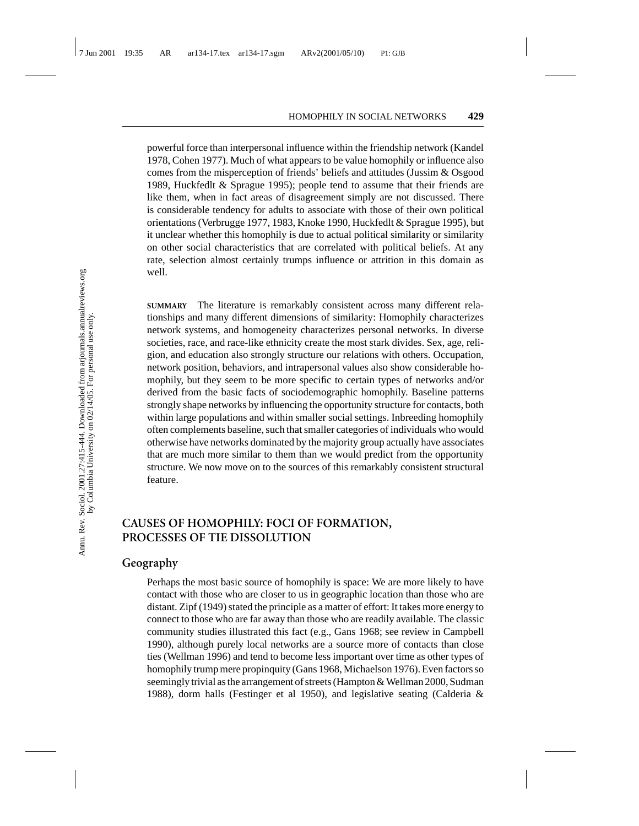powerful force than interpersonal influence within the friendship network (Kandel 1978, Cohen 1977). Much of what appears to be value homophily or influence also comes from the misperception of friends' beliefs and attitudes (Jussim & Osgood 1989, Huckfedlt & Sprague 1995); people tend to assume that their friends are like them, when in fact areas of disagreement simply are not discussed. There is considerable tendency for adults to associate with those of their own political orientations (Verbrugge 1977, 1983, Knoke 1990, Huckfedlt & Sprague 1995), but it unclear whether this homophily is due to actual political similarity or similarity on other social characteristics that are correlated with political beliefs. At any rate, selection almost certainly trumps influence or attrition in this domain as well.

**SUMMARY** The literature is remarkably consistent across many different relationships and many different dimensions of similarity: Homophily characterizes network systems, and homogeneity characterizes personal networks. In diverse societies, race, and race-like ethnicity create the most stark divides. Sex, age, religion, and education also strongly structure our relations with others. Occupation, network position, behaviors, and intrapersonal values also show considerable homophily, but they seem to be more specific to certain types of networks and/or derived from the basic facts of sociodemographic homophily. Baseline patterns strongly shape networks by influencing the opportunity structure for contacts, both within large populations and within smaller social settings. Inbreeding homophily often complements baseline, such that smaller categories of individuals who would otherwise have networks dominated by the majority group actually have associates that are much more similar to them than we would predict from the opportunity structure. We now move on to the sources of this remarkably consistent structural feature.

## **CAUSES OF HOMOPHILY: FOCI OF FORMATION, PROCESSES OF TIE DISSOLUTION**

#### **Geography**

Perhaps the most basic source of homophily is space: We are more likely to have contact with those who are closer to us in geographic location than those who are distant. Zipf (1949) stated the principle as a matter of effort: It takes more energy to connect to those who are far away than those who are readily available. The classic community studies illustrated this fact (e.g., Gans 1968; see review in Campbell 1990), although purely local networks are a source more of contacts than close ties (Wellman 1996) and tend to become less important over time as other types of homophily trump mere propinquity (Gans 1968, Michaelson 1976). Even factors so seemingly trivial as the arrangement of streets (Hampton & Wellman 2000, Sudman 1988), dorm halls (Festinger et al 1950), and legislative seating (Calderia &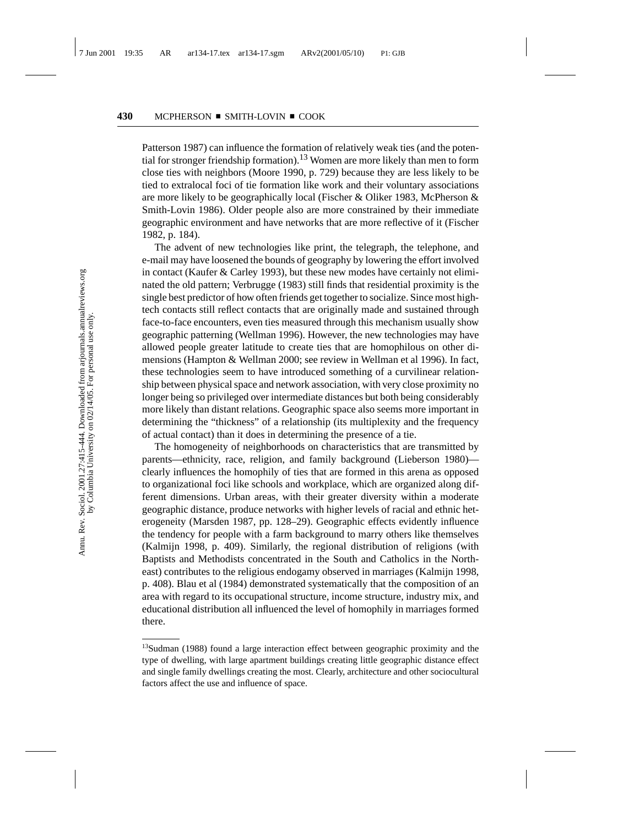Patterson 1987) can influence the formation of relatively weak ties (and the potential for stronger friendship formation).<sup>13</sup> Women are more likely than men to form close ties with neighbors (Moore 1990, p. 729) because they are less likely to be tied to extralocal foci of tie formation like work and their voluntary associations are more likely to be geographically local (Fischer & Oliker 1983, McPherson & Smith-Lovin 1986). Older people also are more constrained by their immediate geographic environment and have networks that are more reflective of it (Fischer 1982, p. 184).

The advent of new technologies like print, the telegraph, the telephone, and e-mail may have loosened the bounds of geography by lowering the effort involved in contact (Kaufer & Carley 1993), but these new modes have certainly not eliminated the old pattern; Verbrugge (1983) still finds that residential proximity is the single best predictor of how often friends get together to socialize. Since most hightech contacts still reflect contacts that are originally made and sustained through face-to-face encounters, even ties measured through this mechanism usually show geographic patterning (Wellman 1996). However, the new technologies may have allowed people greater latitude to create ties that are homophilous on other dimensions (Hampton & Wellman 2000; see review in Wellman et al 1996). In fact, these technologies seem to have introduced something of a curvilinear relationship between physical space and network association, with very close proximity no longer being so privileged over intermediate distances but both being considerably more likely than distant relations. Geographic space also seems more important in determining the "thickness" of a relationship (its multiplexity and the frequency of actual contact) than it does in determining the presence of a tie.

The homogeneity of neighborhoods on characteristics that are transmitted by parents—ethnicity, race, religion, and family background (Lieberson 1980) clearly influences the homophily of ties that are formed in this arena as opposed to organizational foci like schools and workplace, which are organized along different dimensions. Urban areas, with their greater diversity within a moderate geographic distance, produce networks with higher levels of racial and ethnic heterogeneity (Marsden 1987, pp. 128–29). Geographic effects evidently influence the tendency for people with a farm background to marry others like themselves (Kalmijn 1998, p. 409). Similarly, the regional distribution of religions (with Baptists and Methodists concentrated in the South and Catholics in the Northeast) contributes to the religious endogamy observed in marriages (Kalmijn 1998, p. 408). Blau et al (1984) demonstrated systematically that the composition of an area with regard to its occupational structure, income structure, industry mix, and educational distribution all influenced the level of homophily in marriages formed there.

<sup>&</sup>lt;sup>13</sup>Sudman (1988) found a large interaction effect between geographic proximity and the type of dwelling, with large apartment buildings creating little geographic distance effect and single family dwellings creating the most. Clearly, architecture and other sociocultural factors affect the use and influence of space.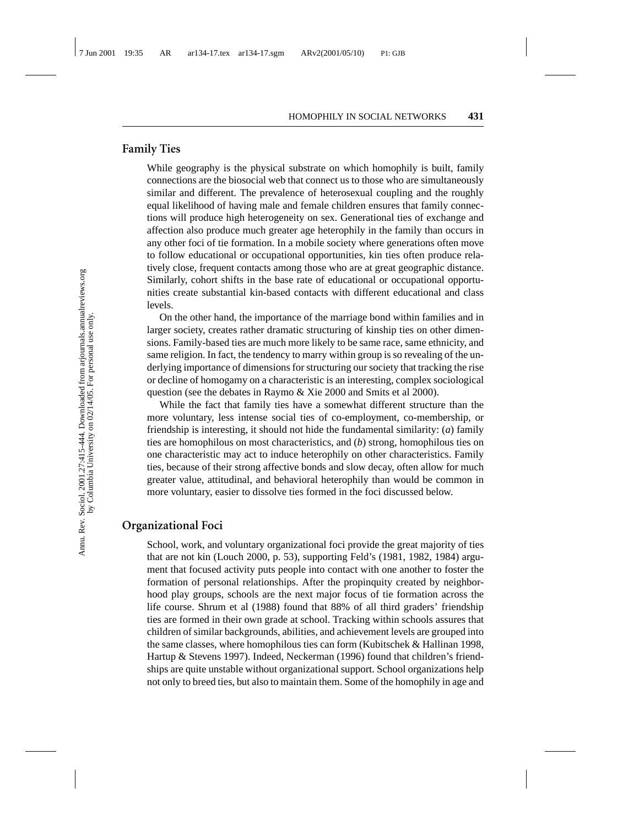#### **Family Ties**

While geography is the physical substrate on which homophily is built, family connections are the biosocial web that connect us to those who are simultaneously similar and different. The prevalence of heterosexual coupling and the roughly equal likelihood of having male and female children ensures that family connections will produce high heterogeneity on sex. Generational ties of exchange and affection also produce much greater age heterophily in the family than occurs in any other foci of tie formation. In a mobile society where generations often move to follow educational or occupational opportunities, kin ties often produce relatively close, frequent contacts among those who are at great geographic distance. Similarly, cohort shifts in the base rate of educational or occupational opportunities create substantial kin-based contacts with different educational and class levels.

On the other hand, the importance of the marriage bond within families and in larger society, creates rather dramatic structuring of kinship ties on other dimensions. Family-based ties are much more likely to be same race, same ethnicity, and same religion. In fact, the tendency to marry within group is so revealing of the underlying importance of dimensions for structuring our society that tracking the rise or decline of homogamy on a characteristic is an interesting, complex sociological question (see the debates in Raymo & Xie 2000 and Smits et al 2000).

While the fact that family ties have a somewhat different structure than the more voluntary, less intense social ties of co-employment, co-membership, or friendship is interesting, it should not hide the fundamental similarity: (*a*) family ties are homophilous on most characteristics, and (*b*) strong, homophilous ties on one characteristic may act to induce heterophily on other characteristics. Family ties, because of their strong affective bonds and slow decay, often allow for much greater value, attitudinal, and behavioral heterophily than would be common in more voluntary, easier to dissolve ties formed in the foci discussed below.

#### **Organizational Foci**

School, work, and voluntary organizational foci provide the great majority of ties that are not kin (Louch 2000, p. 53), supporting Feld's (1981, 1982, 1984) argument that focused activity puts people into contact with one another to foster the formation of personal relationships. After the propinquity created by neighborhood play groups, schools are the next major focus of tie formation across the life course. Shrum et al (1988) found that 88% of all third graders' friendship ties are formed in their own grade at school. Tracking within schools assures that children of similar backgrounds, abilities, and achievement levels are grouped into the same classes, where homophilous ties can form (Kubitschek & Hallinan 1998, Hartup & Stevens 1997). Indeed, Neckerman (1996) found that children's friendships are quite unstable without organizational support. School organizations help not only to breed ties, but also to maintain them. Some of the homophily in age and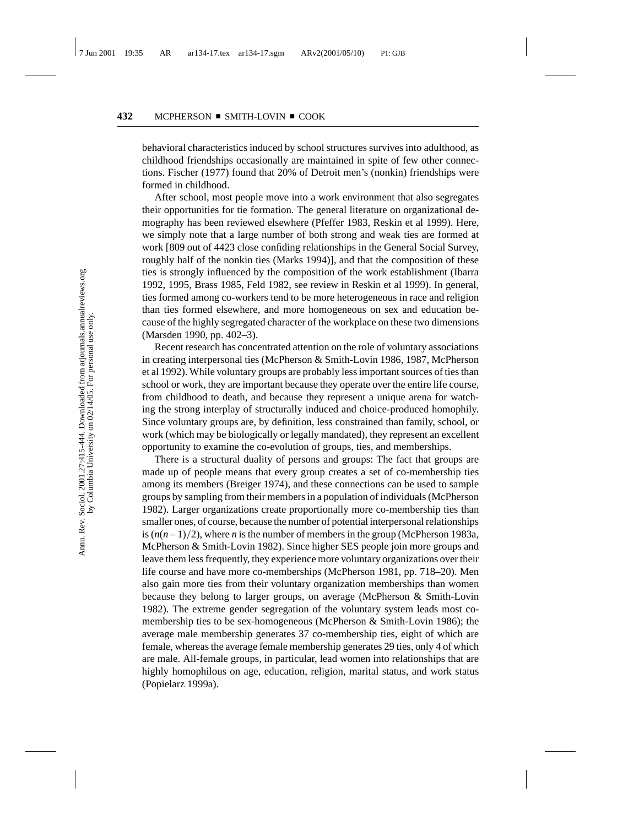behavioral characteristics induced by school structures survives into adulthood, as childhood friendships occasionally are maintained in spite of few other connections. Fischer (1977) found that 20% of Detroit men's (nonkin) friendships were formed in childhood.

After school, most people move into a work environment that also segregates their opportunities for tie formation. The general literature on organizational demography has been reviewed elsewhere (Pfeffer 1983, Reskin et al 1999). Here, we simply note that a large number of both strong and weak ties are formed at work [809 out of 4423 close confiding relationships in the General Social Survey, roughly half of the nonkin ties (Marks 1994)], and that the composition of these ties is strongly influenced by the composition of the work establishment (Ibarra 1992, 1995, Brass 1985, Feld 1982, see review in Reskin et al 1999). In general, ties formed among co-workers tend to be more heterogeneous in race and religion than ties formed elsewhere, and more homogeneous on sex and education because of the highly segregated character of the workplace on these two dimensions (Marsden 1990, pp. 402–3).

Recent research has concentrated attention on the role of voluntary associations in creating interpersonal ties (McPherson & Smith-Lovin 1986, 1987, McPherson et al 1992). While voluntary groups are probably less important sources of ties than school or work, they are important because they operate over the entire life course, from childhood to death, and because they represent a unique arena for watching the strong interplay of structurally induced and choice-produced homophily. Since voluntary groups are, by definition, less constrained than family, school, or work (which may be biologically or legally mandated), they represent an excellent opportunity to examine the co-evolution of groups, ties, and memberships.

There is a structural duality of persons and groups: The fact that groups are made up of people means that every group creates a set of co-membership ties among its members (Breiger 1974), and these connections can be used to sample groups by sampling from their members in a population of individuals (McPherson 1982). Larger organizations create proportionally more co-membership ties than smaller ones, of course, because the number of potential interpersonal relationships is  $(n(n-1)/2)$ , where *n* is the number of members in the group (McPherson 1983a, McPherson & Smith-Lovin 1982). Since higher SES people join more groups and leave them less frequently, they experience more voluntary organizations over their life course and have more co-memberships (McPherson 1981, pp. 718–20). Men also gain more ties from their voluntary organization memberships than women because they belong to larger groups, on average (McPherson & Smith-Lovin 1982). The extreme gender segregation of the voluntary system leads most comembership ties to be sex-homogeneous (McPherson & Smith-Lovin 1986); the average male membership generates 37 co-membership ties, eight of which are female, whereas the average female membership generates 29 ties, only 4 of which are male. All-female groups, in particular, lead women into relationships that are highly homophilous on age, education, religion, marital status, and work status (Popielarz 1999a).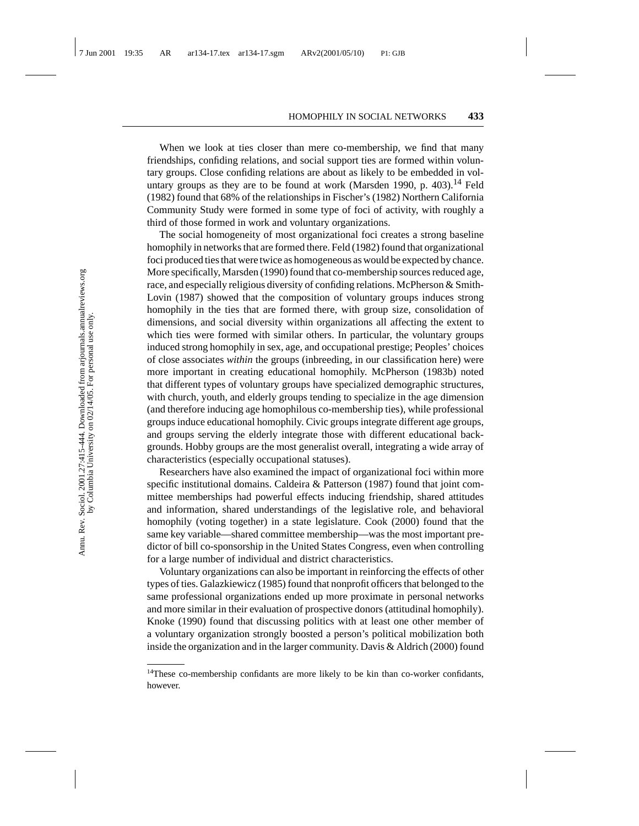When we look at ties closer than mere co-membership, we find that many friendships, confiding relations, and social support ties are formed within voluntary groups. Close confiding relations are about as likely to be embedded in voluntary groups as they are to be found at work (Marsden 1990, p. 403).<sup>14</sup> Feld (1982) found that 68% of the relationships in Fischer's (1982) Northern California Community Study were formed in some type of foci of activity, with roughly a third of those formed in work and voluntary organizations.

The social homogeneity of most organizational foci creates a strong baseline homophily in networks that are formed there. Feld (1982) found that organizational foci produced ties that were twice as homogeneous as would be expected by chance. More specifically, Marsden (1990) found that co-membership sources reduced age, race, and especially religious diversity of confiding relations. McPherson & Smith-Lovin (1987) showed that the composition of voluntary groups induces strong homophily in the ties that are formed there, with group size, consolidation of dimensions, and social diversity within organizations all affecting the extent to which ties were formed with similar others. In particular, the voluntary groups induced strong homophily in sex, age, and occupational prestige; Peoples' choices of close associates *within* the groups (inbreeding, in our classification here) were more important in creating educational homophily. McPherson (1983b) noted that different types of voluntary groups have specialized demographic structures, with church, youth, and elderly groups tending to specialize in the age dimension (and therefore inducing age homophilous co-membership ties), while professional groups induce educational homophily. Civic groups integrate different age groups, and groups serving the elderly integrate those with different educational backgrounds. Hobby groups are the most generalist overall, integrating a wide array of characteristics (especially occupational statuses).

Researchers have also examined the impact of organizational foci within more specific institutional domains. Caldeira & Patterson (1987) found that joint committee memberships had powerful effects inducing friendship, shared attitudes and information, shared understandings of the legislative role, and behavioral homophily (voting together) in a state legislature. Cook (2000) found that the same key variable—shared committee membership—was the most important predictor of bill co-sponsorship in the United States Congress, even when controlling for a large number of individual and district characteristics.

Voluntary organizations can also be important in reinforcing the effects of other types of ties. Galazkiewicz (1985) found that nonprofit officers that belonged to the same professional organizations ended up more proximate in personal networks and more similar in their evaluation of prospective donors (attitudinal homophily). Knoke (1990) found that discussing politics with at least one other member of a voluntary organization strongly boosted a person's political mobilization both inside the organization and in the larger community. Davis & Aldrich (2000) found

<sup>&</sup>lt;sup>14</sup>These co-membership confidants are more likely to be kin than co-worker confidants, however.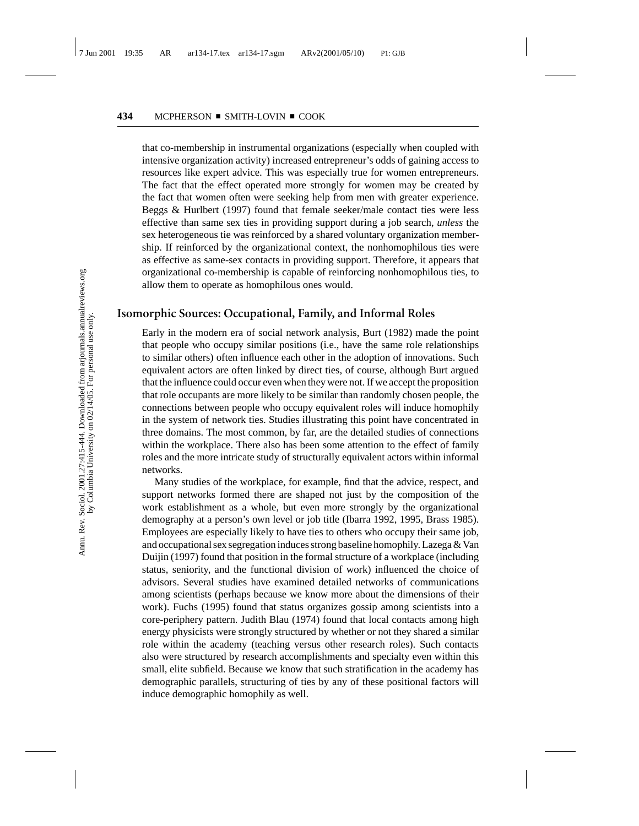that co-membership in instrumental organizations (especially when coupled with intensive organization activity) increased entrepreneur's odds of gaining access to resources like expert advice. This was especially true for women entrepreneurs. The fact that the effect operated more strongly for women may be created by the fact that women often were seeking help from men with greater experience. Beggs & Hurlbert (1997) found that female seeker/male contact ties were less effective than same sex ties in providing support during a job search, *unless* the sex heterogeneous tie was reinforced by a shared voluntary organization membership. If reinforced by the organizational context, the nonhomophilous ties were as effective as same-sex contacts in providing support. Therefore, it appears that organizational co-membership is capable of reinforcing nonhomophilous ties, to allow them to operate as homophilous ones would.

#### **Isomorphic Sources: Occupational, Family, and Informal Roles**

Early in the modern era of social network analysis, Burt (1982) made the point that people who occupy similar positions (i.e., have the same role relationships to similar others) often influence each other in the adoption of innovations. Such equivalent actors are often linked by direct ties, of course, although Burt argued that the influence could occur even when they were not. If we accept the proposition that role occupants are more likely to be similar than randomly chosen people, the connections between people who occupy equivalent roles will induce homophily in the system of network ties. Studies illustrating this point have concentrated in three domains. The most common, by far, are the detailed studies of connections within the workplace. There also has been some attention to the effect of family roles and the more intricate study of structurally equivalent actors within informal networks.

Many studies of the workplace, for example, find that the advice, respect, and support networks formed there are shaped not just by the composition of the work establishment as a whole, but even more strongly by the organizational demography at a person's own level or job title (Ibarra 1992, 1995, Brass 1985). Employees are especially likely to have ties to others who occupy their same job, and occupational sex segregation induces strong baseline homophily. Lazega & Van Duijin (1997) found that position in the formal structure of a workplace (including status, seniority, and the functional division of work) influenced the choice of advisors. Several studies have examined detailed networks of communications among scientists (perhaps because we know more about the dimensions of their work). Fuchs (1995) found that status organizes gossip among scientists into a core-periphery pattern. Judith Blau (1974) found that local contacts among high energy physicists were strongly structured by whether or not they shared a similar role within the academy (teaching versus other research roles). Such contacts also were structured by research accomplishments and specialty even within this small, elite subfield. Because we know that such stratification in the academy has demographic parallels, structuring of ties by any of these positional factors will induce demographic homophily as well.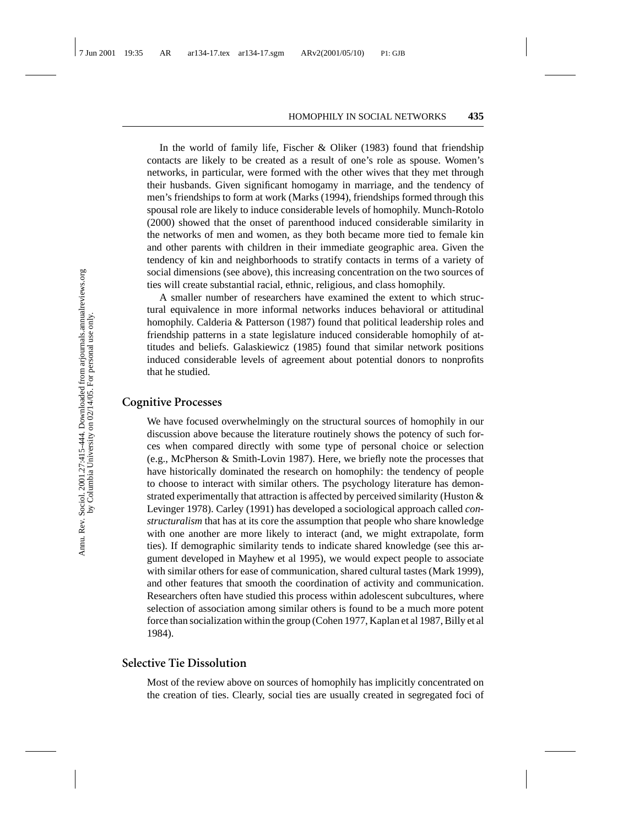In the world of family life, Fischer & Oliker (1983) found that friendship contacts are likely to be created as a result of one's role as spouse. Women's networks, in particular, were formed with the other wives that they met through their husbands. Given significant homogamy in marriage, and the tendency of men's friendships to form at work (Marks (1994), friendships formed through this spousal role are likely to induce considerable levels of homophily. Munch-Rotolo (2000) showed that the onset of parenthood induced considerable similarity in the networks of men and women, as they both became more tied to female kin and other parents with children in their immediate geographic area. Given the tendency of kin and neighborhoods to stratify contacts in terms of a variety of social dimensions (see above), this increasing concentration on the two sources of ties will create substantial racial, ethnic, religious, and class homophily.

A smaller number of researchers have examined the extent to which structural equivalence in more informal networks induces behavioral or attitudinal homophily. Calderia & Patterson (1987) found that political leadership roles and friendship patterns in a state legislature induced considerable homophily of attitudes and beliefs. Galaskiewicz (1985) found that similar network positions induced considerable levels of agreement about potential donors to nonprofits that he studied.

#### **Cognitive Processes**

We have focused overwhelmingly on the structural sources of homophily in our discussion above because the literature routinely shows the potency of such forces when compared directly with some type of personal choice or selection (e.g., McPherson & Smith-Lovin 1987). Here, we briefly note the processes that have historically dominated the research on homophily: the tendency of people to choose to interact with similar others. The psychology literature has demonstrated experimentally that attraction is affected by perceived similarity (Huston & Levinger 1978). Carley (1991) has developed a sociological approach called *constructuralism* that has at its core the assumption that people who share knowledge with one another are more likely to interact (and, we might extrapolate, form ties). If demographic similarity tends to indicate shared knowledge (see this argument developed in Mayhew et al 1995), we would expect people to associate with similar others for ease of communication, shared cultural tastes (Mark 1999), and other features that smooth the coordination of activity and communication. Researchers often have studied this process within adolescent subcultures, where selection of association among similar others is found to be a much more potent force than socialization within the group (Cohen 1977, Kaplan et al 1987, Billy et al 1984).

#### **Selective Tie Dissolution**

Most of the review above on sources of homophily has implicitly concentrated on the creation of ties. Clearly, social ties are usually created in segregated foci of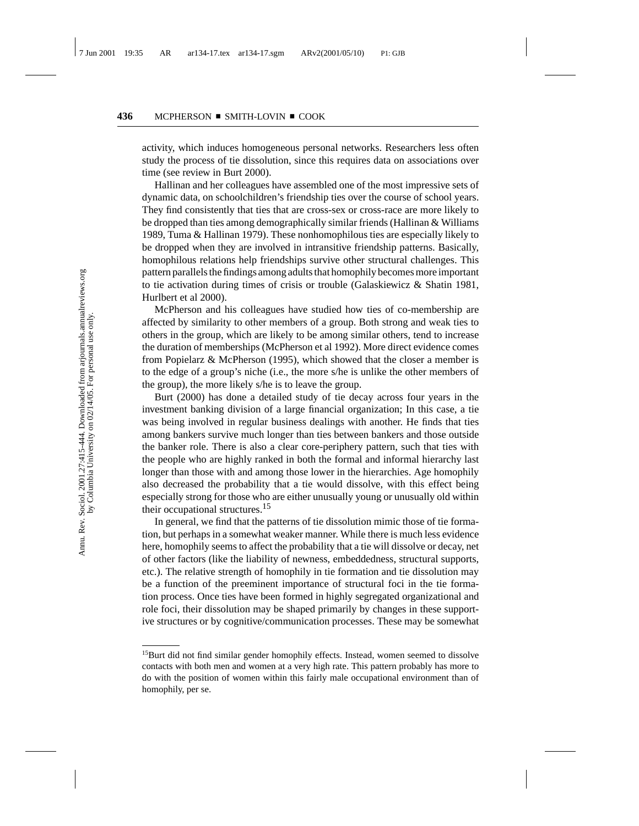activity, which induces homogeneous personal networks. Researchers less often study the process of tie dissolution, since this requires data on associations over time (see review in Burt 2000).

Hallinan and her colleagues have assembled one of the most impressive sets of dynamic data, on schoolchildren's friendship ties over the course of school years. They find consistently that ties that are cross-sex or cross-race are more likely to be dropped than ties among demographically similar friends (Hallinan & Williams 1989, Tuma & Hallinan 1979). These nonhomophilous ties are especially likely to be dropped when they are involved in intransitive friendship patterns. Basically, homophilous relations help friendships survive other structural challenges. This pattern parallels the findings among adults that homophily becomes more important to tie activation during times of crisis or trouble (Galaskiewicz & Shatin 1981, Hurlbert et al 2000).

McPherson and his colleagues have studied how ties of co-membership are affected by similarity to other members of a group. Both strong and weak ties to others in the group, which are likely to be among similar others, tend to increase the duration of memberships (McPherson et al 1992). More direct evidence comes from Popielarz & McPherson (1995), which showed that the closer a member is to the edge of a group's niche (i.e., the more s/he is unlike the other members of the group), the more likely s/he is to leave the group.

Burt (2000) has done a detailed study of tie decay across four years in the investment banking division of a large financial organization; In this case, a tie was being involved in regular business dealings with another. He finds that ties among bankers survive much longer than ties between bankers and those outside the banker role. There is also a clear core-periphery pattern, such that ties with the people who are highly ranked in both the formal and informal hierarchy last longer than those with and among those lower in the hierarchies. Age homophily also decreased the probability that a tie would dissolve, with this effect being especially strong for those who are either unusually young or unusually old within their occupational structures.<sup>15</sup>

In general, we find that the patterns of tie dissolution mimic those of tie formation, but perhaps in a somewhat weaker manner. While there is much less evidence here, homophily seems to affect the probability that a tie will dissolve or decay, net of other factors (like the liability of newness, embeddedness, structural supports, etc.). The relative strength of homophily in tie formation and tie dissolution may be a function of the preeminent importance of structural foci in the tie formation process. Once ties have been formed in highly segregated organizational and role foci, their dissolution may be shaped primarily by changes in these supportive structures or by cognitive/communication processes. These may be somewhat

<sup>&</sup>lt;sup>15</sup>Burt did not find similar gender homophily effects. Instead, women seemed to dissolve contacts with both men and women at a very high rate. This pattern probably has more to do with the position of women within this fairly male occupational environment than of homophily, per se.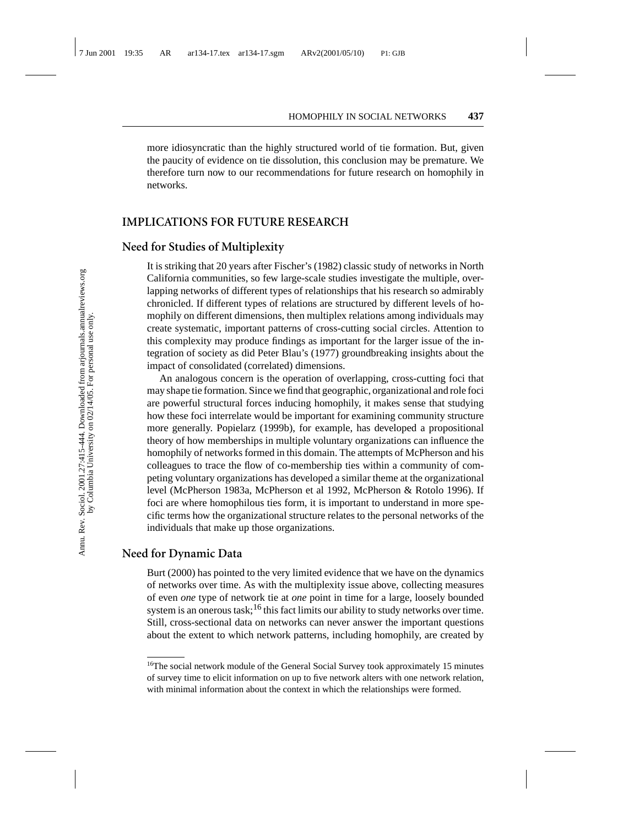more idiosyncratic than the highly structured world of tie formation. But, given the paucity of evidence on tie dissolution, this conclusion may be premature. We therefore turn now to our recommendations for future research on homophily in networks.

#### **IMPLICATIONS FOR FUTURE RESEARCH**

### **Need for Studies of Multiplexity**

It is striking that 20 years after Fischer's (1982) classic study of networks in North California communities, so few large-scale studies investigate the multiple, overlapping networks of different types of relationships that his research so admirably chronicled. If different types of relations are structured by different levels of homophily on different dimensions, then multiplex relations among individuals may create systematic, important patterns of cross-cutting social circles. Attention to this complexity may produce findings as important for the larger issue of the integration of society as did Peter Blau's (1977) groundbreaking insights about the impact of consolidated (correlated) dimensions.

An analogous concern is the operation of overlapping, cross-cutting foci that may shape tie formation. Since we find that geographic, organizational and role foci are powerful structural forces inducing homophily, it makes sense that studying how these foci interrelate would be important for examining community structure more generally. Popielarz (1999b), for example, has developed a propositional theory of how memberships in multiple voluntary organizations can influence the homophily of networks formed in this domain. The attempts of McPherson and his colleagues to trace the flow of co-membership ties within a community of competing voluntary organizations has developed a similar theme at the organizational level (McPherson 1983a, McPherson et al 1992, McPherson & Rotolo 1996). If foci are where homophilous ties form, it is important to understand in more specific terms how the organizational structure relates to the personal networks of the individuals that make up those organizations.

#### **Need for Dynamic Data**

Burt (2000) has pointed to the very limited evidence that we have on the dynamics of networks over time. As with the multiplexity issue above, collecting measures of even *one* type of network tie at *one* point in time for a large, loosely bounded system is an onerous task;  $16$  this fact limits our ability to study networks over time. Still, cross-sectional data on networks can never answer the important questions about the extent to which network patterns, including homophily, are created by

<sup>&</sup>lt;sup>16</sup>The social network module of the General Social Survey took approximately 15 minutes of survey time to elicit information on up to five network alters with one network relation, with minimal information about the context in which the relationships were formed.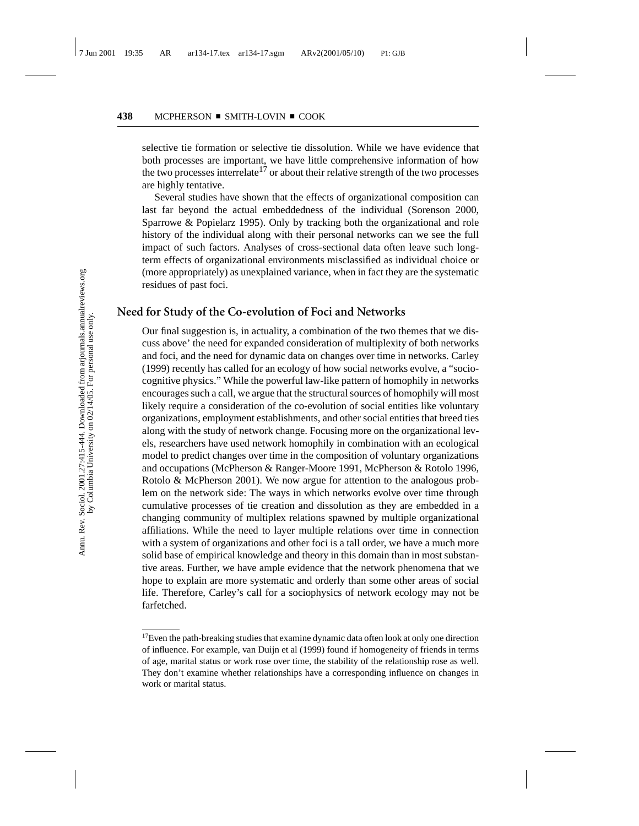selective tie formation or selective tie dissolution. While we have evidence that both processes are important, we have little comprehensive information of how the two processes interrelate<sup>17</sup> or about their relative strength of the two processes are highly tentative.

Several studies have shown that the effects of organizational composition can last far beyond the actual embeddedness of the individual (Sorenson 2000, Sparrowe & Popielarz 1995). Only by tracking both the organizational and role history of the individual along with their personal networks can we see the full impact of such factors. Analyses of cross-sectional data often leave such longterm effects of organizational environments misclassified as individual choice or (more appropriately) as unexplained variance, when in fact they are the systematic residues of past foci.

#### **Need for Study of the Co-evolution of Foci and Networks**

Our final suggestion is, in actuality, a combination of the two themes that we discuss above' the need for expanded consideration of multiplexity of both networks and foci, and the need for dynamic data on changes over time in networks. Carley (1999) recently has called for an ecology of how social networks evolve, a "sociocognitive physics." While the powerful law-like pattern of homophily in networks encourages such a call, we argue that the structural sources of homophily will most likely require a consideration of the co-evolution of social entities like voluntary organizations, employment establishments, and other social entities that breed ties along with the study of network change. Focusing more on the organizational levels, researchers have used network homophily in combination with an ecological model to predict changes over time in the composition of voluntary organizations and occupations (McPherson & Ranger-Moore 1991, McPherson & Rotolo 1996, Rotolo & McPherson 2001). We now argue for attention to the analogous problem on the network side: The ways in which networks evolve over time through cumulative processes of tie creation and dissolution as they are embedded in a changing community of multiplex relations spawned by multiple organizational affiliations. While the need to layer multiple relations over time in connection with a system of organizations and other foci is a tall order, we have a much more solid base of empirical knowledge and theory in this domain than in most substantive areas. Further, we have ample evidence that the network phenomena that we hope to explain are more systematic and orderly than some other areas of social life. Therefore, Carley's call for a sociophysics of network ecology may not be farfetched.

<sup>&</sup>lt;sup>17</sup>Even the path-breaking studies that examine dynamic data often look at only one direction of influence. For example, van Duijn et al (1999) found if homogeneity of friends in terms of age, marital status or work rose over time, the stability of the relationship rose as well. They don't examine whether relationships have a corresponding influence on changes in work or marital status.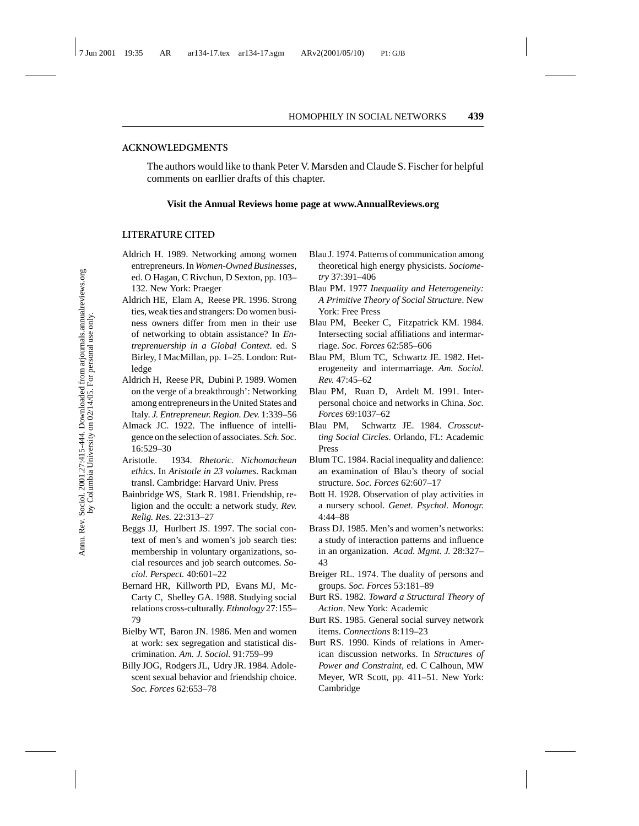#### **ACKNOWLEDGMENTS**

The authors would like to thank Peter V. Marsden and Claude S. Fischer for helpful comments on earllier drafts of this chapter.

#### **Visit the Annual Reviews home page at www.AnnualReviews.org**

#### **LITERATURE CITED**

- Aldrich H. 1989. Networking among women entrepreneurs. In *Women-Owned Businesses*, ed. O Hagan, C Rivchun, D Sexton, pp. 103– 132. New York: Praeger
- Aldrich HE, Elam A, Reese PR. 1996. Strong ties, weak ties and strangers: Do women business owners differ from men in their use of networking to obtain assistance? In *Entreprenuership in a Global Context*. ed. S Birley, I MacMillan, pp. 1–25. London: Rutledge
- Aldrich H, Reese PR, Dubini P. 1989. Women on the verge of a breakthrough': Networking among entrepreneurs in the United States and Italy. *J. Entrepreneur. Region. Dev.* 1:339–56
- Almack JC. 1922. The influence of intelligence on the selection of associates. *Sch. Soc.* 16:529–30
- Aristotle. 1934. *Rhetoric. Nichomachean ethics*. In *Aristotle in 23 volumes*. Rackman transl. Cambridge: Harvard Univ. Press
- Bainbridge WS, Stark R. 1981. Friendship, religion and the occult: a network study. *Rev. Relig. Res.* 22:313–27
- Beggs JJ, Hurlbert JS. 1997. The social context of men's and women's job search ties: membership in voluntary organizations, social resources and job search outcomes. *Sociol. Perspect.* 40:601–22
- Bernard HR, Killworth PD, Evans MJ, Mc-Carty C, Shelley GA. 1988. Studying social relations cross-culturally.*Ethnology* 27:155– 79
- Bielby WT, Baron JN. 1986. Men and women at work: sex segregation and statistical discrimination. *Am. J. Sociol.* 91:759–99
- Billy JOG, Rodgers JL, Udry JR. 1984. Adolescent sexual behavior and friendship choice. *Soc. Forces* 62:653–78
- Blau J. 1974. Patterns of communication among theoretical high energy physicists. *Sociometry* 37:391–406
- Blau PM. 1977 *Inequality and Heterogeneity: A Primitive Theory of Social Structure*. New York: Free Press
- Blau PM, Beeker C, Fitzpatrick KM. 1984. Intersecting social affiliations and intermarriage. *Soc. Forces* 62:585–606
- Blau PM, Blum TC, Schwartz JE. 1982. Heterogeneity and intermarriage. *Am. Sociol. Rev.* 47:45–62
- Blau PM, Ruan D, Ardelt M. 1991. Interpersonal choice and networks in China. *Soc. Forces* 69:1037–62
- Blau PM, Schwartz JE. 1984. *Crosscutting Social Circles*. Orlando, FL: Academic Press
- Blum TC. 1984. Racial inequality and dalience: an examination of Blau's theory of social structure. *Soc. Forces* 62:607–17
- Bott H. 1928. Observation of play activities in a nursery school. *Genet. Psychol. Monogr.* 4:44–88
- Brass DJ. 1985. Men's and women's networks: a study of interaction patterns and influence in an organization. *Acad. Mgmt. J.* 28:327– 43
- Breiger RL. 1974. The duality of persons and groups. *Soc. Forces* 53:181–89
- Burt RS. 1982. *Toward a Structural Theory of Action*. New York: Academic
- Burt RS. 1985. General social survey network items. *Connections* 8:119–23
- Burt RS. 1990. Kinds of relations in American discussion networks. In *Structures of Power and Constraint*, ed. C Calhoun, MW Meyer, WR Scott, pp. 411–51. New York: Cambridge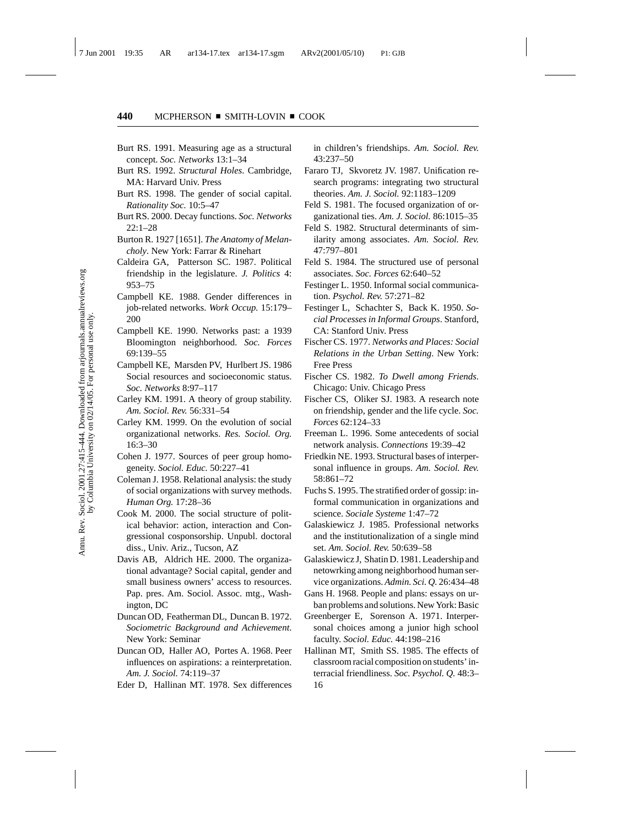- Burt RS. 1991. Measuring age as a structural concept. *Soc. Networks* 13:1–34
- Burt RS. 1992. *Structural Holes*. Cambridge, MA: Harvard Univ. Press
- Burt RS. 1998. The gender of social capital. *Rationality Soc.* 10:5–47
- Burt RS. 2000. Decay functions. *Soc. Networks* 22:1–28
- Burton R. 1927 [1651]. *The Anatomy of Melancholy*. New York: Farrar & Rinehart
- Caldeira GA, Patterson SC. 1987. Political friendship in the legislature. *J. Politics* 4: 953–75
- Campbell KE. 1988. Gender differences in job-related networks. *Work Occup.* 15:179– 200
- Campbell KE. 1990. Networks past: a 1939 Bloomington neighborhood. *Soc. Forces* 69:139–55
- Campbell KE, Marsden PV, Hurlbert JS. 1986 Social resources and socioeconomic status. *Soc. Networks* 8:97–117
- Carley KM. 1991. A theory of group stability. *Am. Sociol. Rev.* 56:331–54
- Carley KM. 1999. On the evolution of social organizational networks. *Res. Sociol. Org.* 16:3–30
- Cohen J. 1977. Sources of peer group homogeneity. *Sociol. Educ.* 50:227–41
- Coleman J. 1958. Relational analysis: the study of social organizations with survey methods. *Human Org.* 17:28–36
- Cook M. 2000. The social structure of political behavior: action, interaction and Congressional cosponsorship. Unpubl. doctoral diss., Univ. Ariz., Tucson, AZ
- Davis AB, Aldrich HE. 2000. The organizational advantage? Social capital, gender and small business owners' access to resources. Pap. pres. Am. Sociol. Assoc. mtg., Washington, DC
- Duncan OD, Featherman DL, Duncan B. 1972. *Sociometric Background and Achievement*. New York: Seminar
- Duncan OD, Haller AO, Portes A. 1968. Peer influences on aspirations: a reinterpretation. *Am. J. Sociol.* 74:119–37
- Eder D, Hallinan MT. 1978. Sex differences

in children's friendships. *Am. Sociol. Rev.* 43:237–50

- Fararo TJ, Skvoretz JV. 1987. Unification research programs: integrating two structural theories. *Am. J. Sociol.* 92:1183–1209
- Feld S. 1981. The focused organization of organizational ties. *Am. J. Sociol.* 86:1015–35
- Feld S. 1982. Structural determinants of similarity among associates. *Am. Sociol. Rev.* 47:797–801
- Feld S. 1984. The structured use of personal associates. *Soc. Forces* 62:640–52
- Festinger L. 1950. Informal social communication. *Psychol. Rev.* 57:271–82
- Festinger L, Schachter S, Back K. 1950. *Social Processes in Informal Groups*. Stanford, CA: Stanford Univ. Press
- Fischer CS. 1977. *Networks and Places: Social Relations in the Urban Setting*. New York: Free Press
- Fischer CS. 1982. *To Dwell among Friends*. Chicago: Univ. Chicago Press
- Fischer CS, Oliker SJ. 1983. A research note on friendship, gender and the life cycle. *Soc. Forces* 62:124–33
- Freeman L. 1996. Some antecedents of social network analysis. *Connections* 19:39–42
- Friedkin NE. 1993. Structural bases of interpersonal influence in groups. *Am. Sociol. Rev.* 58:861–72
- Fuchs S. 1995. The stratified order of gossip: informal communication in organizations and science. *Sociale Systeme* 1:47–72
- Galaskiewicz J. 1985. Professional networks and the institutionalization of a single mind set. *Am. Sociol. Rev.* 50:639–58
- Galaskiewicz J, Shatin D. 1981. Leadership and netowrking among neighborhood human service organizations. *Admin. Sci. Q.* 26:434–48
- Gans H. 1968. People and plans: essays on urban problems and solutions. New York: Basic
- Greenberger E, Sorenson A. 1971. Interpersonal choices among a junior high school faculty. *Sociol. Educ.* 44:198–216
- Hallinan MT, Smith SS. 1985. The effects of classroom racial composition on students' interracial friendliness. *Soc. Psychol. Q.* 48:3– 16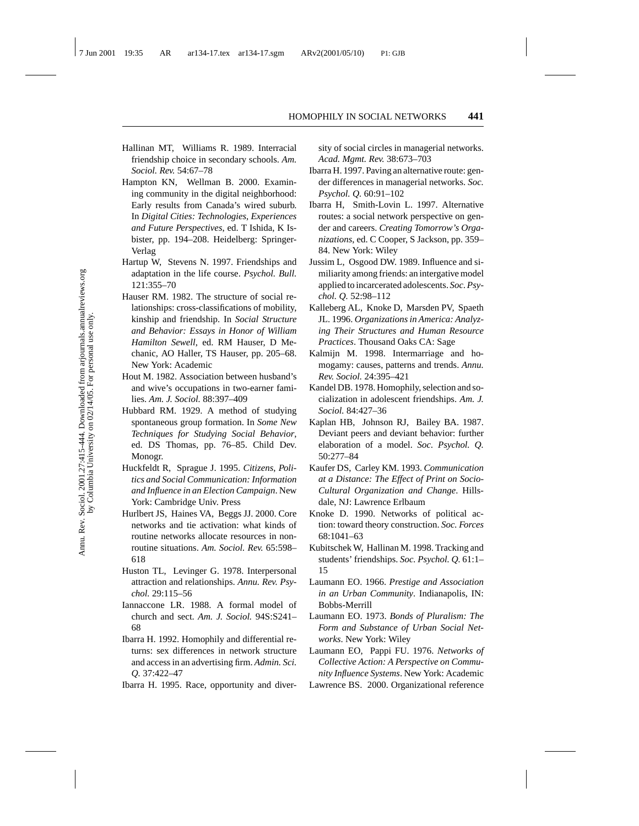- Hallinan MT, Williams R. 1989. Interracial friendship choice in secondary schools. *Am. Sociol. Rev.* 54:67–78
- Hampton KN, Wellman B. 2000. Examining community in the digital neighborhood: Early results from Canada's wired suburb. In *Digital Cities: Technologies*, *Experiences and Future Perspectives*, ed. T Ishida, K Isbister, pp. 194–208. Heidelberg: Springer-Verlag
- Hartup W, Stevens N. 1997. Friendships and adaptation in the life course. *Psychol. Bull.* 121:355–70
- Hauser RM. 1982. The structure of social relationships: cross-classifications of mobility, kinship and friendship. In *Social Structure and Behavior: Essays in Honor of William Hamilton Sewell*, ed. RM Hauser, D Mechanic, AO Haller, TS Hauser, pp. 205–68. New York: Academic
- Hout M. 1982. Association between husband's and wive's occupations in two-earner families. *Am. J. Sociol.* 88:397–409
- Hubbard RM. 1929. A method of studying spontaneous group formation. In *Some New Techniques for Studying Social Behavior*, ed. DS Thomas, pp. 76–85. Child Dev. Monogr.
- Huckfeldt R, Sprague J. 1995. *Citizens*, *Politics and Social Communication: Information and Influence in an Election Campaign*. New York: Cambridge Univ. Press
- Hurlbert JS, Haines VA, Beggs JJ. 2000. Core networks and tie activation: what kinds of routine networks allocate resources in nonroutine situations. *Am. Sociol. Rev.* 65:598– 618
- Huston TL, Levinger G. 1978. Interpersonal attraction and relationships. *Annu. Rev. Psychol.* 29:115–56
- Iannaccone LR. 1988. A formal model of church and sect. *Am. J. Sociol.* 94S:S241– 68
- Ibarra H. 1992. Homophily and differential returns: sex differences in network structure and access in an advertising firm. *Admin. Sci. Q.* 37:422–47
- Ibarra H. 1995. Race, opportunity and diver-

sity of social circles in managerial networks. *Acad. Mgmt. Rev.* 38:673–703

- Ibarra H. 1997. Paving an alternative route: gender differences in managerial networks. *Soc. Psychol. Q.* 60:91–102
- Ibarra H, Smith-Lovin L. 1997. Alternative routes: a social network perspective on gender and careers. *Creating Tomorrow's Organizations*, ed. C Cooper, S Jackson, pp. 359– 84. New York: Wiley
- Jussim L, Osgood DW. 1989. Influence and similiarity among friends: an intergative model applied to incarcerated adolescents. *Soc. Psychol. Q.* 52:98–112
- Kalleberg AL, Knoke D, Marsden PV, Spaeth JL. 1996. *Organizations in America: Analyzing Their Structures and Human Resource Practices*. Thousand Oaks CA: Sage
- Kalmijn M. 1998. Intermarriage and homogamy: causes, patterns and trends. *Annu. Rev. Sociol.* 24:395–421
- Kandel DB. 1978. Homophily, selection and socialization in adolescent friendships. *Am. J. Sociol.* 84:427–36
- Kaplan HB, Johnson RJ, Bailey BA. 1987. Deviant peers and deviant behavior: further elaboration of a model. *Soc. Psychol. Q.* 50:277–84
- Kaufer DS, Carley KM. 1993. *Communication at a Distance: The Effect of Print on Socio-Cultural Organization and Change*. Hillsdale, NJ: Lawrence Erlbaum
- Knoke D. 1990. Networks of political action: toward theory construction. *Soc. Forces* 68:1041–63
- Kubitschek W, Hallinan M. 1998. Tracking and students' friendships. *Soc. Psychol. Q.* 61:1– 15
- Laumann EO. 1966. *Prestige and Association in an Urban Community*. Indianapolis, IN: Bobbs-Merrill
- Laumann EO. 1973. *Bonds of Pluralism: The Form and Substance of Urban Social Networks*. New York: Wiley
- Laumann EO, Pappi FU. 1976. *Networks of Collective Action: A Perspective on Community Influence Systems*. New York: Academic
- Lawrence BS. 2000. Organizational reference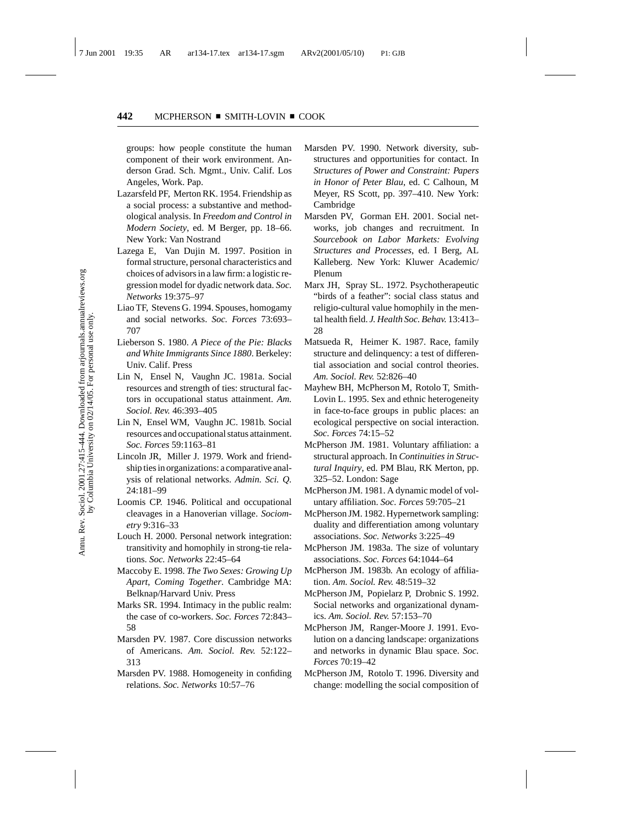groups: how people constitute the human component of their work environment. Anderson Grad. Sch. Mgmt., Univ. Calif. Los Angeles, Work. Pap.

- Lazarsfeld PF, Merton RK. 1954. Friendship as a social process: a substantive and methodological analysis. In *Freedom and Control in Modern Society*, ed. M Berger, pp. 18–66. New York: Van Nostrand
- Lazega E, Van Dujin M. 1997. Position in formal structure, personal characteristics and choices of advisors in a law firm: a logistic regression model for dyadic network data. *Soc. Networks* 19:375–97
- Liao TF, Stevens G. 1994. Spouses, homogamy and social networks. *Soc. Forces* 73:693– 707
- Lieberson S. 1980. *A Piece of the Pie: Blacks and White Immigrants Since 1880*. Berkeley: Univ. Calif. Press
- Lin N, Ensel N, Vaughn JC. 1981a. Social resources and strength of ties: structural factors in occupational status attainment. *Am. Sociol. Rev.* 46:393–405
- Lin N, Ensel WM, Vaughn JC. 1981b. Social resources and occupational status attainment. *Soc. Forces* 59:1163–81
- Lincoln JR, Miller J. 1979. Work and friendship ties in organizations: a comparative analysis of relational networks. *Admin. Sci. Q.* 24:181–99
- Loomis CP. 1946. Political and occupational cleavages in a Hanoverian village. *Sociometry* 9:316–33
- Louch H. 2000. Personal network integration: transitivity and homophily in strong-tie relations. *Soc. Networks* 22:45–64
- Maccoby E. 1998. *The Two Sexes: Growing Up Apart*, *Coming Together*. Cambridge MA: Belknap/Harvard Univ. Press
- Marks SR. 1994. Intimacy in the public realm: the case of co-workers. *Soc. Forces* 72:843– 58
- Marsden PV. 1987. Core discussion networks of Americans. *Am. Sociol. Rev.* 52:122– 313
- Marsden PV. 1988. Homogeneity in confiding relations. *Soc. Networks* 10:57–76
- Marsden PV. 1990. Network diversity, substructures and opportunities for contact. In *Structures of Power and Constraint: Papers in Honor of Peter Blau*, ed. C Calhoun, M Meyer, RS Scott, pp. 397–410. New York: Cambridge
- Marsden PV, Gorman EH. 2001. Social networks, job changes and recruitment. In *Sourcebook on Labor Markets: Evolving Structures and Processes*, ed. I Berg, AL Kalleberg. New York: Kluwer Academic/ Plenum
- Marx JH, Spray SL. 1972. Psychotherapeutic "birds of a feather": social class status and religio-cultural value homophily in the mental health field. *J. Health Soc. Behav.* 13:413– 28
- Matsueda R, Heimer K. 1987. Race, family structure and delinquency: a test of differential association and social control theories. *Am. Sociol. Rev.* 52:826–40
- Mayhew BH, McPherson M, Rotolo T, Smith-Lovin L. 1995. Sex and ethnic heterogeneity in face-to-face groups in public places: an ecological perspective on social interaction. *Soc. Forces* 74:15–52
- McPherson JM. 1981. Voluntary affiliation: a structural approach. In *Continuities in Structural Inquiry*, ed. PM Blau, RK Merton, pp. 325–52. London: Sage
- McPherson JM. 1981. A dynamic model of voluntary affiliation. *Soc. Forces* 59:705–21
- McPherson JM. 1982. Hypernetwork sampling: duality and differentiation among voluntary associations. *Soc. Networks* 3:225–49
- McPherson JM. 1983a. The size of voluntary associations. *Soc. Forces* 64:1044–64
- McPherson JM. 1983b. An ecology of affiliation. *Am. Sociol. Rev.* 48:519–32
- McPherson JM, Popielarz P, Drobnic S. 1992. Social networks and organizational dynamics. *Am. Sociol. Rev.* 57:153–70
- McPherson JM, Ranger-Moore J. 1991. Evolution on a dancing landscape: organizations and networks in dynamic Blau space. *Soc. Forces* 70:19–42
- McPherson JM, Rotolo T. 1996. Diversity and change: modelling the social composition of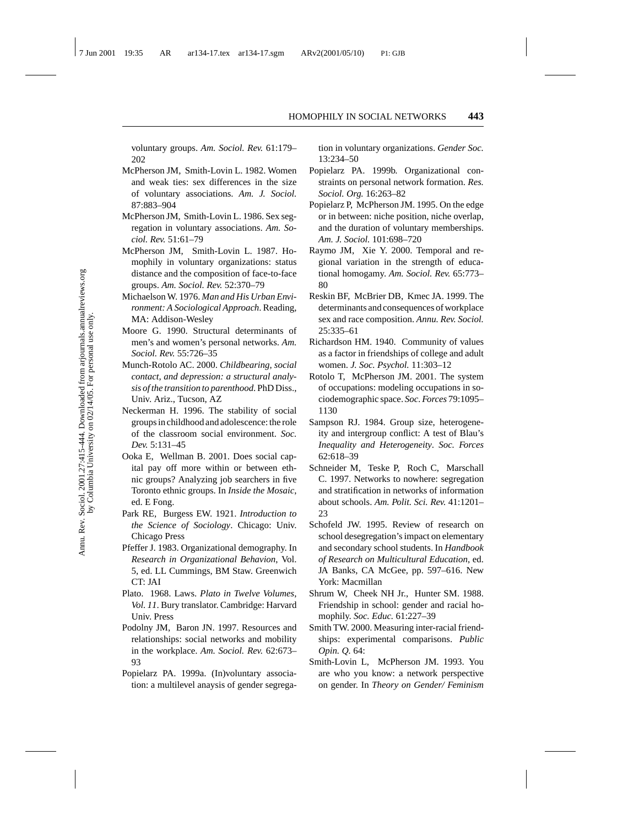voluntary groups. *Am. Sociol. Rev.* 61:179– 202

- McPherson JM, Smith-Lovin L. 1982. Women and weak ties: sex differences in the size of voluntary associations. *Am. J. Sociol.* 87:883–904
- McPherson JM, Smith-Lovin L. 1986. Sex segregation in voluntary associations. *Am. Sociol. Rev.* 51:61–79
- McPherson JM, Smith-Lovin L. 1987. Homophily in voluntary organizations: status distance and the composition of face-to-face groups. *Am. Sociol. Rev.* 52:370–79
- Michaelson W. 1976. *Man and His Urban Environment: A Sociological Approach*. Reading, MA: Addison-Wesley
- Moore G. 1990. Structural determinants of men's and women's personal networks. *Am. Sociol. Rev.* 55:726–35
- Munch-Rotolo AC. 2000. *Childbearing*, *social contact*, *and depression: a structural analysis of the transition to parenthood*. PhD Diss., Univ. Ariz., Tucson, AZ
- Neckerman H. 1996. The stability of social groups in childhood and adolescence: the role of the classroom social environment. *Soc. Dev.* 5:131–45
- Ooka E, Wellman B. 2001. Does social capital pay off more within or between ethnic groups? Analyzing job searchers in five Toronto ethnic groups. In *Inside the Mosaic*, ed. E Fong.
- Park RE, Burgess EW. 1921. *Introduction to the Science of Sociology*. Chicago: Univ. Chicago Press
- Pfeffer J. 1983. Organizational demography. In *Research in Organizational Behavion*, Vol. 5, ed. LL Cummings, BM Staw. Greenwich CT: JAI
- Plato. 1968. Laws. *Plato in Twelve Volumes*, *Vol. 11*. Bury translator. Cambridge: Harvard Univ. Press
- Podolny JM, Baron JN. 1997. Resources and relationships: social networks and mobility in the workplace. *Am. Sociol. Rev.* 62:673– 93
- Popielarz PA. 1999a. (In)voluntary association: a multilevel anaysis of gender segrega-

tion in voluntary organizations. *Gender Soc.* 13:234–50

- Popielarz PA. 1999b. Organizational constraints on personal network formation. *Res. Sociol. Org.* 16:263–82
- Popielarz P, McPherson JM. 1995. On the edge or in between: niche position, niche overlap, and the duration of voluntary memberships. *Am. J. Sociol.* 101:698–720
- Raymo JM, Xie Y. 2000. Temporal and regional variation in the strength of educational homogamy. *Am. Sociol. Rev.* 65:773– 80
- Reskin BF, McBrier DB, Kmec JA. 1999. The determinants and consequences of workplace sex and race composition. *Annu. Rev. Sociol.* 25:335–61
- Richardson HM. 1940. Community of values as a factor in friendships of college and adult women. *J. Soc. Psychol.* 11:303–12
- Rotolo T, McPherson JM. 2001. The system of occupations: modeling occupations in sociodemographic space. *Soc. Forces* 79:1095– 1130
- Sampson RJ. 1984. Group size, heterogeneity and intergroup conflict: A test of Blau's *Inequality and Heterogeneity*. *Soc. Forces* 62:618–39
- Schneider M, Teske P, Roch C, Marschall C. 1997. Networks to nowhere: segregation and stratification in networks of information about schools. *Am. Polit. Sci. Rev.* 41:1201– 23
- Schofeld JW. 1995. Review of research on school desegregation's impact on elementary and secondary school students. In *Handbook of Research on Multicultural Education*, ed. JA Banks, CA McGee, pp. 597–616. New York: Macmillan
- Shrum W, Cheek NH Jr., Hunter SM. 1988. Friendship in school: gender and racial homophily. *Soc. Educ.* 61:227–39
- Smith TW. 2000. Measuring inter-racial friendships: experimental comparisons. *Public Opin. Q.* 64:
- Smith-Lovin L, McPherson JM. 1993. You are who you know: a network perspective on gender. In *Theory on Gender/ Feminism*